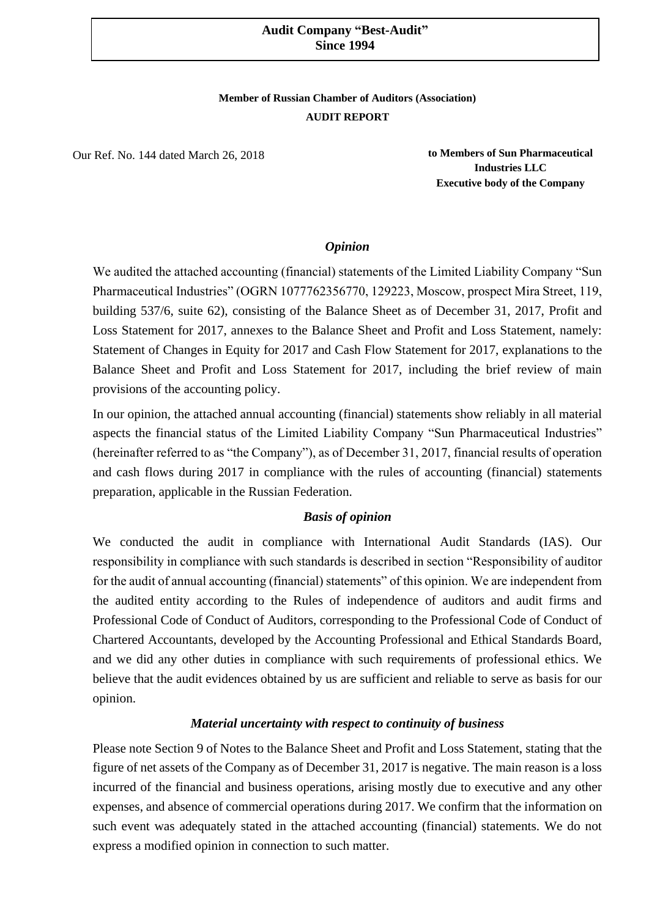## **Audit Company "Best-Audit" Since 1994**

## **Member of Russian Chamber of Auditors (Association) AUDIT REPORT**

Our Ref. No. 144 dated March 26, 2018

**to Members of Sun Pharmaceutical Industries LLC Executive body of the Company**

### *Opinion*

We audited the attached accounting (financial) statements of the Limited Liability Company "Sun Pharmaceutical Industries" (OGRN 1077762356770, 129223, Moscow, prospect Mira Street, 119, building 537/6, suite 62), consisting of the Balance Sheet as of December 31, 2017, Profit and Loss Statement for 2017, annexes to the Balance Sheet and Profit and Loss Statement, namely: Statement of Changes in Equity for 2017 and Cash Flow Statement for 2017, explanations to the Balance Sheet and Profit and Loss Statement for 2017, including the brief review of main provisions of the accounting policy.

In our opinion, the attached annual accounting (financial) statements show reliably in all material aspects the financial status of the Limited Liability Company "Sun Pharmaceutical Industries" (hereinafter referred to as "the Company"), as of December 31, 2017, financial results of operation and cash flows during 2017 in compliance with the rules of accounting (financial) statements preparation, applicable in the Russian Federation.

## *Basis of opinion*

We conducted the audit in compliance with International Audit Standards (IAS). Our responsibility in compliance with such standards is described in section "Responsibility of auditor for the audit of annual accounting (financial) statements" of this opinion. We are independent from the audited entity according to the Rules of independence of auditors and audit firms and Professional Code of Conduct of Auditors, corresponding to the Professional Code of Conduct of Chartered Accountants, developed by the Accounting Professional and Ethical Standards Board, and we did any other duties in compliance with such requirements of professional ethics. We believe that the audit evidences obtained by us are sufficient and reliable to serve as basis for our opinion.

## *Material uncertainty with respect to continuity of business*

Please note Section 9 of Notes to the Balance Sheet and Profit and Loss Statement, stating that the figure of net assets of the Company as of December 31, 2017 is negative. The main reason is a loss incurred of the financial and business operations, arising mostly due to executive and any other expenses, and absence of commercial operations during 2017. We confirm that the information on such event was adequately stated in the attached accounting (financial) statements. We do not express a modified opinion in connection to such matter.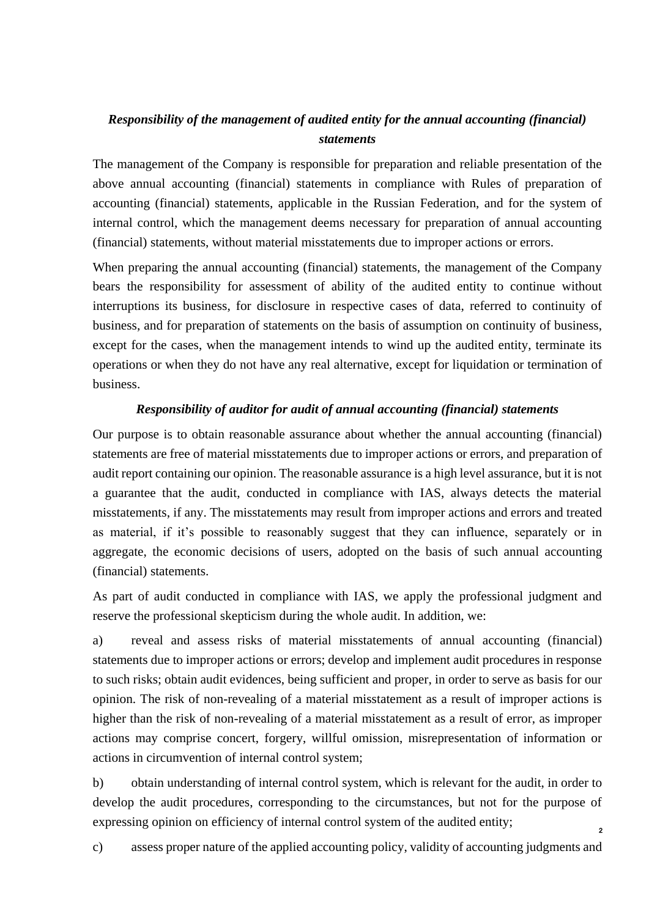## *Responsibility of the management of audited entity for the annual accounting (financial) statements*

The management of the Company is responsible for preparation and reliable presentation of the above annual accounting (financial) statements in compliance with Rules of preparation of accounting (financial) statements, applicable in the Russian Federation, and for the system of internal control, which the management deems necessary for preparation of annual accounting (financial) statements, without material misstatements due to improper actions or errors.

When preparing the annual accounting (financial) statements, the management of the Company bears the responsibility for assessment of ability of the audited entity to continue without interruptions its business, for disclosure in respective cases of data, referred to continuity of business, and for preparation of statements on the basis of assumption on continuity of business, except for the cases, when the management intends to wind up the audited entity, terminate its operations or when they do not have any real alternative, except for liquidation or termination of business.

## *Responsibility of auditor for audit of annual accounting (financial) statements*

Our purpose is to obtain reasonable assurance about whether the annual accounting (financial) statements are free of material misstatements due to improper actions or errors, and preparation of audit report containing our opinion. The reasonable assurance is a high level assurance, but it is not a guarantee that the audit, conducted in compliance with IAS, always detects the material misstatements, if any. The misstatements may result from improper actions and errors and treated as material, if it's possible to reasonably suggest that they can influence, separately or in aggregate, the economic decisions of users, adopted on the basis of such annual accounting (financial) statements.

As part of audit conducted in compliance with IAS, we apply the professional judgment and reserve the professional skepticism during the whole audit. In addition, we:

a) reveal and assess risks of material misstatements of annual accounting (financial) statements due to improper actions or errors; develop and implement audit procedures in response to such risks; obtain audit evidences, being sufficient and proper, in order to serve as basis for our opinion. The risk of non-revealing of a material misstatement as a result of improper actions is higher than the risk of non-revealing of a material misstatement as a result of error, as improper actions may comprise concert, forgery, willful omission, misrepresentation of information or actions in circumvention of internal control system;

b) obtain understanding of internal control system, which is relevant for the audit, in order to develop the audit procedures, corresponding to the circumstances, but not for the purpose of expressing opinion on efficiency of internal control system of the audited entity;

c) assess proper nature of the applied accounting policy, validity of accounting judgments and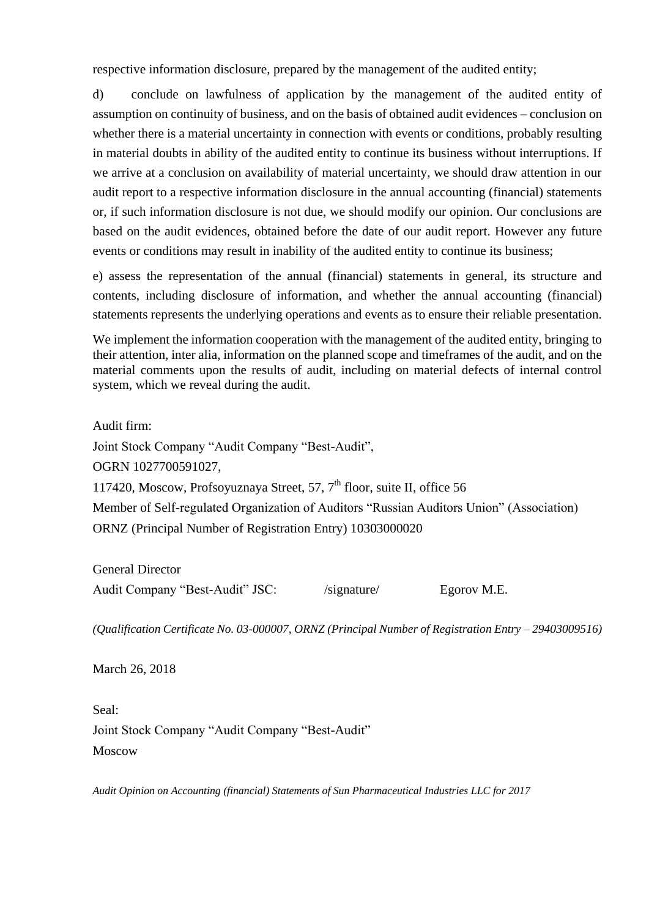respective information disclosure, prepared by the management of the audited entity;

d) conclude on lawfulness of application by the management of the audited entity of assumption on continuity of business, and on the basis of obtained audit evidences – conclusion on whether there is a material uncertainty in connection with events or conditions, probably resulting in material doubts in ability of the audited entity to continue its business without interruptions. If we arrive at a conclusion on availability of material uncertainty, we should draw attention in our audit report to a respective information disclosure in the annual accounting (financial) statements or, if such information disclosure is not due, we should modify our opinion. Our conclusions are based on the audit evidences, obtained before the date of our audit report. However any future events or conditions may result in inability of the audited entity to continue its business;

e) assess the representation of the annual (financial) statements in general, its structure and contents, including disclosure of information, and whether the annual accounting (financial) statements represents the underlying operations and events as to ensure their reliable presentation.

We implement the information cooperation with the management of the audited entity, bringing to their attention, inter alia, information on the planned scope and timeframes of the audit, and on the material comments upon the results of audit, including on material defects of internal control system, which we reveal during the audit.

Audit firm:

Joint Stock Company "Audit Company "Best-Audit", OGRN 1027700591027, 117420, Moscow, Profsoyuznaya Street, 57,  $7<sup>th</sup>$  floor, suite II, office 56 Member of Self-regulated Organization of Auditors "Russian Auditors Union" (Association) ORNZ (Principal Number of Registration Entry) 10303000020

General Director Audit Company "Best-Audit" JSC: /signature/ Egorov M.E.

*(Qualification Certificate No. 03-000007, ORNZ (Principal Number of Registration Entry – 29403009516)*

March 26, 2018

Seal: Joint Stock Company "Audit Company "Best-Audit" Moscow

*Audit Opinion on Accounting (financial) Statements of Sun Pharmaceutical Industries LLC for 2017*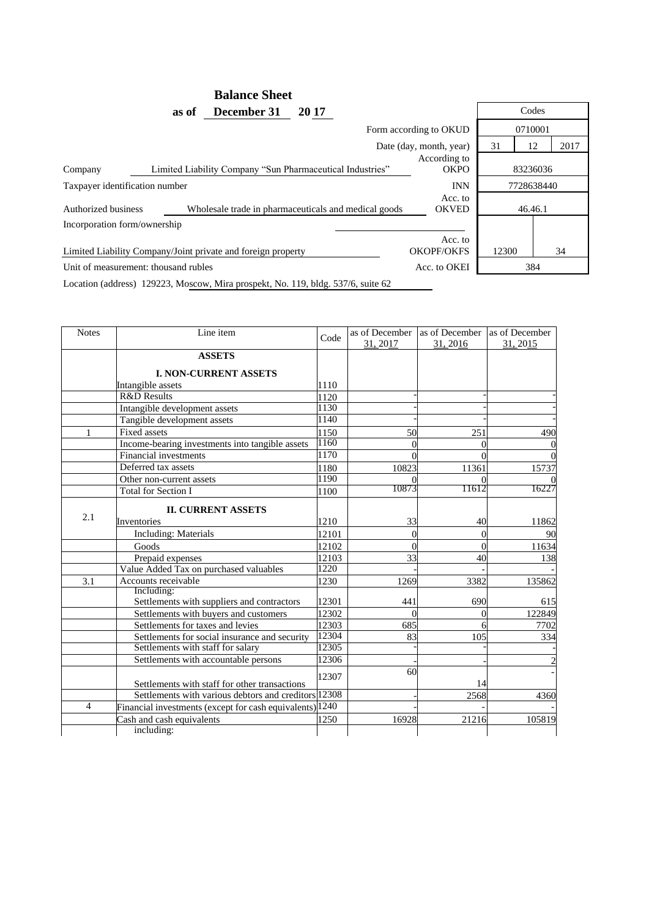#### **Balance Sheet as of December 31** 2017 Codes Form according to OKUD 0710001 Date (day, month, year) 31 12 2017 Company Limited Liability Company "Sun Pharmaceutical Industries" According to 83236036 Taxpayer identification number **INN** 7728638440 Authorized business Wholesale trade in pharmaceuticals and medical goods Acc. to OKVED 46.46.1 Incorporation form/ownership Limited Liability Company/Joint private and foreign property Acc. to OKOPF/OKFS 12300 34 Unit of measurement: thousand rubles Acc. to OKEI 384

Location (address) 129223, Moscow, Mira prospekt, No. 119, bldg. 537/6, suite 62

| <b>Notes</b>   | Line item                                                |       | as of December | as of December | as of December |
|----------------|----------------------------------------------------------|-------|----------------|----------------|----------------|
|                |                                                          | Code  | 31, 2017       | 31, 2016       | 31, 2015       |
|                | <b>ASSETS</b>                                            |       |                |                |                |
|                | <b>I. NON-CURRENT ASSETS</b>                             |       |                |                |                |
|                | Intangible assets                                        | 1110  |                |                |                |
|                | <b>R&amp;D Results</b>                                   | 1120  |                |                |                |
|                | Intangible development assets                            | 1130  |                |                |                |
|                | Tangible development assets                              | 1140  |                |                |                |
| 1              | <b>Fixed assets</b>                                      | 1150  | 50             | 251            | 490            |
|                | Income-bearing investments into tangible assets          | 1160  | 0              | $\Omega$       |                |
|                | Financial investments                                    | 1170  |                | $\Omega$       |                |
|                | Deferred tax assets                                      | 1180  | 10823          | 11361          | 15737          |
|                | Other non-current assets                                 | 1190  |                |                |                |
|                | <b>Total for Section I</b>                               | 1100  | 10873          | 11612          | 16227          |
|                | <b>II. CURRENT ASSETS</b>                                |       |                |                |                |
| 2.1            |                                                          |       |                |                |                |
|                | Inventories                                              | 1210  | 33             | 40             | 11862          |
|                | <b>Including: Materials</b>                              | 12101 | $\theta$       | $\theta$       | 90             |
|                | Goods                                                    | 12102 | 0              | $\theta$       | 11634          |
|                | Prepaid expenses                                         | 12103 | 33             | 40             | 138            |
|                | Value Added Tax on purchased valuables                   | 1220  |                |                |                |
| 3.1            | Accounts receivable                                      | 1230  | 1269           | 3382           | 135862         |
|                | Including:<br>Settlements with suppliers and contractors | 12301 | 441            | 690            | 615            |
|                | Settlements with buyers and customers                    | 12302 | 0              | $\Omega$       | 122849         |
|                | Settlements for taxes and levies                         | 12303 | 685            | 6              | 7702           |
|                | Settlements for social insurance and security            | 12304 | 83             | 105            | 334            |
|                | Settlements with staff for salary                        | 12305 |                |                |                |
|                | Settlements with accountable persons                     | 12306 |                |                |                |
|                |                                                          |       | 60             |                |                |
|                | Settlements with staff for other transactions            | 12307 |                | 14             |                |
|                | Settlements with various debtors and creditors 12308     |       |                | 2568           | 4360           |
| $\overline{4}$ | Financial investments (except for cash equivalents) 1240 |       |                |                |                |
|                | Cash and cash equivalents                                | 1250  | 16928          | 21216          | 105819         |
|                | including:                                               |       |                |                |                |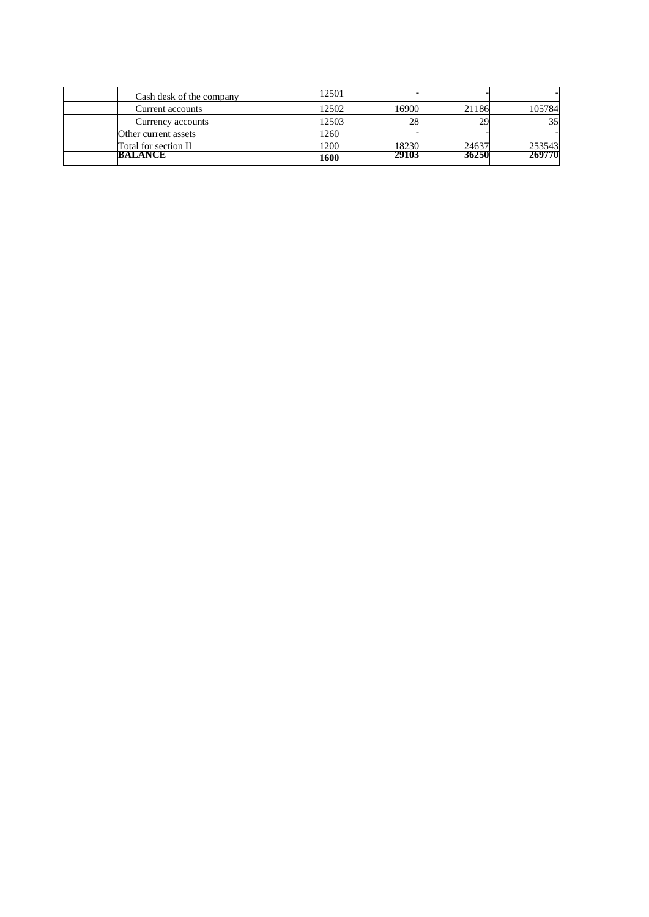| BALANCE                  | 1600  | 29103 | 36250 | 269770 |
|--------------------------|-------|-------|-------|--------|
| Total for section II     | 1200  | 18230 | 24637 | 253543 |
| Other current assets     | 1260  |       |       |        |
| Currency accounts        | 12503 | 28    | 29    | 35     |
| Current accounts         | 12502 | 16900 | 21186 | 105784 |
| Cash desk of the company | 12501 |       |       |        |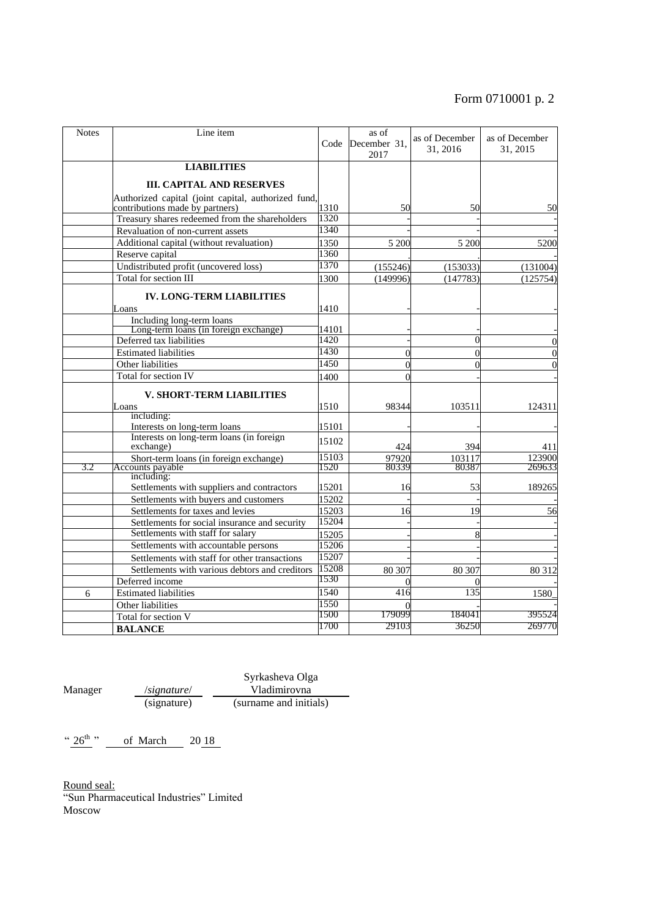# Form 0710001 p. 2

| <b>Notes</b> | Line item                                                                              |       | as of<br>Code December 31.<br>2017 | as of December<br>31, 2016 | as of December<br>31, 2015 |
|--------------|----------------------------------------------------------------------------------------|-------|------------------------------------|----------------------------|----------------------------|
|              | <b>LIABILITIES</b>                                                                     |       |                                    |                            |                            |
|              |                                                                                        |       |                                    |                            |                            |
|              | <b>III. CAPITAL AND RESERVES</b>                                                       |       |                                    |                            |                            |
|              | Authorized capital (joint capital, authorized fund,<br>contributions made by partners) | 1310  | 50                                 | 50                         | 50                         |
|              | Treasury shares redeemed from the shareholders                                         | 1320  |                                    |                            |                            |
|              | Revaluation of non-current assets                                                      | 1340  |                                    |                            |                            |
|              | Additional capital (without revaluation)                                               | 1350  | 5 200                              | 5 200                      | 5200                       |
|              | Reserve capital                                                                        | 1360  |                                    |                            |                            |
|              | Undistributed profit (uncovered loss)                                                  | 1370  | (155246)                           | (153033)                   | (131004)                   |
|              | Total for section III                                                                  | 1300  | (149996)                           | (147783)                   | (125754)                   |
|              | <b>IV. LONG-TERM LIABILITIES</b>                                                       |       |                                    |                            |                            |
|              |                                                                                        |       |                                    |                            |                            |
|              | Loans<br>Including long-term loans                                                     | 1410  |                                    |                            |                            |
|              | Long-term loans (in foreign exchange)                                                  | 14101 |                                    |                            |                            |
|              | Deferred tax liabilities                                                               | 1420  |                                    |                            |                            |
|              | <b>Estimated liabilities</b>                                                           | 1430  | $\Omega$                           |                            |                            |
|              | Other liabilities                                                                      | 1450  | $\theta$                           |                            |                            |
|              | Total for section IV                                                                   | 1400  | $\Omega$                           |                            |                            |
|              | V. SHORT-TERM LIABILITIES                                                              |       |                                    |                            |                            |
|              | Loans                                                                                  | 1510  | 98344                              | 103511                     | 124311                     |
|              | including:                                                                             |       |                                    |                            |                            |
|              | Interests on long-term loans                                                           | 15101 |                                    |                            |                            |
|              | Interests on long-term loans (in foreign<br>exchange)                                  | 15102 | 424                                | 394                        | 411                        |
|              | Short-term loans (in foreign exchange)                                                 | 15103 | 97920                              | 103117                     | 123900                     |
| 3.2          | Accounts payable<br>including:                                                         | 1520  | 80339                              | 80387                      | 269633                     |
|              | Settlements with suppliers and contractors                                             | 15201 | 16                                 | 53                         | 189265                     |
|              | Settlements with buyers and customers                                                  | 15202 |                                    |                            |                            |
|              | Settlements for taxes and levies                                                       | 15203 | 16                                 | 19                         | 56                         |
|              | Settlements for social insurance and security                                          | 15204 |                                    |                            |                            |
|              | Settlements with staff for salary                                                      | 15205 |                                    |                            |                            |
|              | Settlements with accountable persons                                                   | 15206 |                                    |                            |                            |
|              | Settlements with staff for other transactions                                          | 15207 |                                    |                            |                            |
|              | Settlements with various debtors and creditors                                         | 15208 | 80 30 7                            | 80 30 7                    | 80 312                     |
|              | Deferred income                                                                        | 1530  | $\Omega$                           |                            |                            |
| 6            | <b>Estimated liabilities</b>                                                           | 1540  | 416                                | 135                        | 1580                       |
|              | Other liabilities                                                                      | 1550  |                                    |                            |                            |
|              | Total for section V                                                                    | 1500  | 179099                             | 184041                     | 395524                     |
|              | <b>BALANCE</b>                                                                         | 1700  | 29103                              | 36250                      | 269770                     |

Manager /*signature*/<br>(signature) Syrkasheva Olga Vladimirovna (surname and initials)

" $26^{th}$ " of March 20 18

Round seal: "Sun Pharmaceutical Industries" Limited Moscow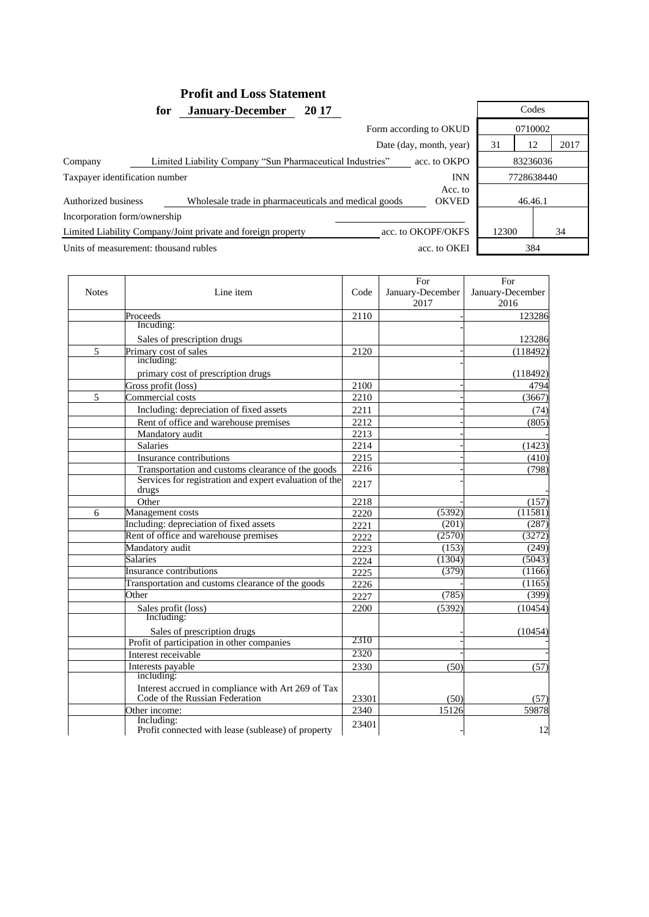## **Profit and Loss Statement for January-December 20 17** Codes

|                                                              | 0710002                                              |                         |    |         |      |
|--------------------------------------------------------------|------------------------------------------------------|-------------------------|----|---------|------|
|                                                              |                                                      | Date (day, month, year) | 31 | 12      | 2017 |
| Company                                                      | acc. to OKPO                                         | 83236036                |    |         |      |
| Taxpayer identification number                               | <b>INN</b>                                           | 7728638440              |    |         |      |
| Authorized business                                          | Wholesale trade in pharmaceuticals and medical goods | Acc. to<br><b>OKVED</b> |    | 46.46.1 |      |
| Incorporation form/ownership                                 |                                                      |                         |    |         |      |
| Limited Liability Company/Joint private and foreign property | acc. to OKOPF/OKFS                                   | 12300                   |    | 34      |      |
| Units of measurement: thousand rubles                        | 384<br>acc. to OKEI                                  |                         |    |         |      |

 $\overline{\phantom{a}}$ 

|              |                                                                                      |       | For              | For              |
|--------------|--------------------------------------------------------------------------------------|-------|------------------|------------------|
| <b>Notes</b> | Line item                                                                            | Code  | January-December | January-December |
|              |                                                                                      |       | 2017             | 2016             |
|              | Proceeds                                                                             | 2110  |                  | 123286           |
|              | Incuding:                                                                            |       |                  |                  |
|              | Sales of prescription drugs                                                          |       |                  | 123286           |
| 5            | Primary cost of sales                                                                | 2120  |                  | (118492)         |
|              | including:                                                                           |       |                  |                  |
|              | primary cost of prescription drugs                                                   |       |                  | (118492)         |
|              | Gross profit (loss)                                                                  | 2100  |                  | 4794             |
| 5            | Commercial costs                                                                     | 2210  |                  | (3667)           |
|              | Including: depreciation of fixed assets                                              | 2211  |                  | (74)             |
|              | Rent of office and warehouse premises                                                | 2212  |                  | (805)            |
|              | Mandatory audit                                                                      | 2213  |                  |                  |
|              | <b>Salaries</b>                                                                      | 2214  |                  | (1423)           |
|              | Insurance contributions                                                              | 2215  |                  | (410)            |
|              | Transportation and customs clearance of the goods                                    | 2216  |                  | (798)            |
|              | Services for registration and expert evaluation of the<br>drugs                      | 2217  |                  |                  |
|              | Other                                                                                | 2218  |                  | (157)            |
| 6            | Management costs                                                                     | 2220  | (5392)           | (11581)          |
|              | Including: depreciation of fixed assets                                              | 2221  | (201)            | (287)            |
|              | Rent of office and warehouse premises                                                | 2222  | (2570)           | (3272)           |
|              | Mandatory audit                                                                      | 2223  | (153)            | (249)            |
|              | <b>Salaries</b>                                                                      | 2224  | (1304)           | (5043)           |
|              | <b>Insurance contributions</b>                                                       | 2225  | (379)            | (1166)           |
|              | Transportation and customs clearance of the goods                                    | 2226  |                  | (1165)           |
|              | Other                                                                                | 2227  | (785)            | (399)            |
|              | Sales profit (loss)                                                                  | 2200  | (5392)           | (10454)          |
|              | Including:                                                                           |       |                  |                  |
|              | Sales of prescription drugs                                                          |       |                  | (10454)          |
|              | Profit of participation in other companies                                           | 2310  |                  |                  |
|              | Interest receivable                                                                  | 2320  |                  |                  |
|              | Interests payable                                                                    | 2330  | (50)             | (57)             |
|              | including:                                                                           |       |                  |                  |
|              | Interest accrued in compliance with Art 269 of Tax<br>Code of the Russian Federation | 23301 | (50)             | (57)             |
|              | Other income:                                                                        | 2340  | 15126            | 59878            |
|              | Including:<br>Profit connected with lease (sublease) of property                     | 23401 |                  | 12               |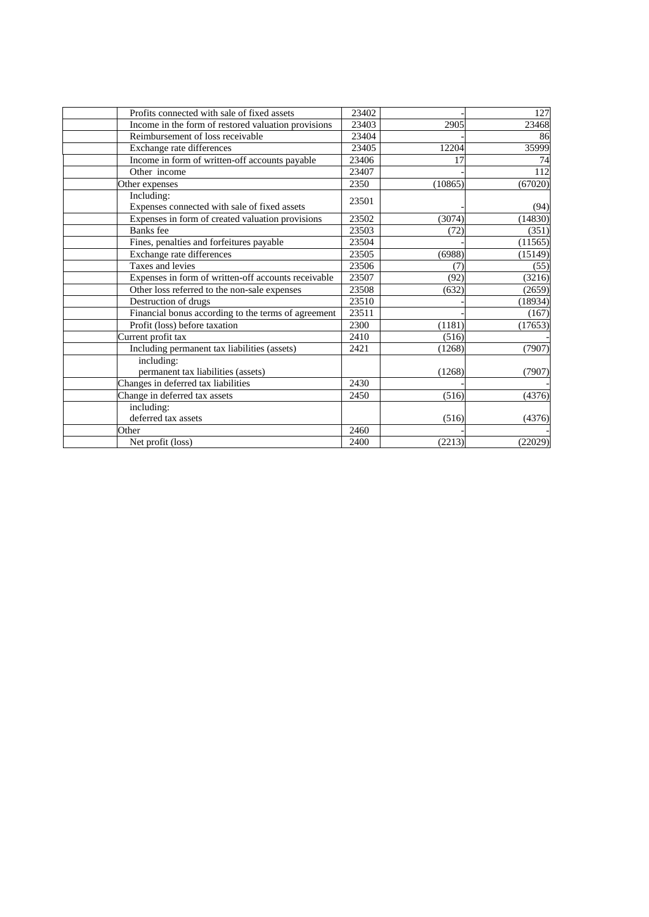| Profits connected with sale of fixed assets                | 23402 |         | 127     |
|------------------------------------------------------------|-------|---------|---------|
| Income in the form of restored valuation provisions        | 23403 | 2905    | 23468   |
| Reimbursement of loss receivable                           | 23404 |         | 86      |
| Exchange rate differences                                  | 23405 | 12204   | 35999   |
| Income in form of written-off accounts payable             | 23406 | 17      | 74      |
| Other income                                               | 23407 |         | 112     |
| Other expenses                                             | 2350  | (10865) | (67020) |
| Including:<br>Expenses connected with sale of fixed assets | 23501 |         | (94)    |
| Expenses in form of created valuation provisions           | 23502 | (3074)  | (14830) |
| Banks fee                                                  | 23503 | (72)    | (351)   |
| Fines, penalties and forfeitures payable                   | 23504 |         | (11565) |
| Exchange rate differences                                  | 23505 | (6988)  | (15149) |
| Taxes and levies                                           | 23506 | (7)     | (55)    |
| Expenses in form of written-off accounts receivable        | 23507 | (92)    | (3216)  |
| Other loss referred to the non-sale expenses               | 23508 | (632)   | (2659)  |
| Destruction of drugs                                       | 23510 |         | (18934) |
| Financial bonus according to the terms of agreement        | 23511 |         | (167)   |
| Profit (loss) before taxation                              | 2300  | (1181)  | (17653) |
| Current profit tax                                         | 2410  | (516)   |         |
| Including permanent tax liabilities (assets)               | 2421  | (1268)  | (7907)  |
| including:                                                 |       |         |         |
| permanent tax liabilities (assets)                         |       | (1268)  | (7907)  |
| Changes in deferred tax liabilities                        | 2430  |         |         |
| Change in deferred tax assets                              | 2450  | (516)   | (4376)  |
| including:                                                 |       |         |         |
| deferred tax assets                                        |       | (516)   | (4376)  |
| Other                                                      | 2460  |         |         |
| Net profit (loss)                                          | 2400  | (2213)  | (22029) |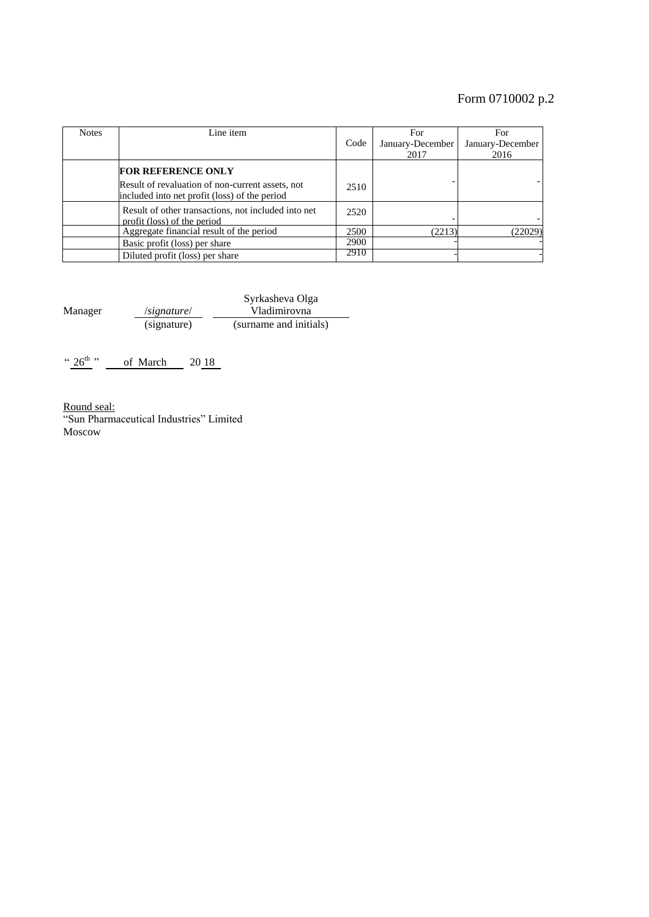# Form 0710002 p.2

| <b>Notes</b> | Line item                                                                                         | Code | For<br>January-December<br>2017 | For<br>January-December<br>2016 |
|--------------|---------------------------------------------------------------------------------------------------|------|---------------------------------|---------------------------------|
|              | <b>FOR REFERENCE ONLY</b>                                                                         |      |                                 |                                 |
|              | Result of revaluation of non-current assets, not<br>included into net profit (loss) of the period | 2510 |                                 |                                 |
|              | Result of other transactions, not included into net<br>profit (loss) of the period                | 2520 |                                 |                                 |
|              | Aggregate financial result of the period                                                          | 2500 | (2213)                          | (22029)                         |
|              | Basic profit (loss) per share                                                                     | 2900 |                                 |                                 |
|              | Diluted profit (loss) per share                                                                   | 2910 |                                 |                                 |

Manager /*signature*/ Syrkasheva Olga Vladimirovna (signature) (surname and initials)

"  $26^{th}$ " of March 20 18

Round seal: "Sun Pharmaceutical Industries" Limited Moscow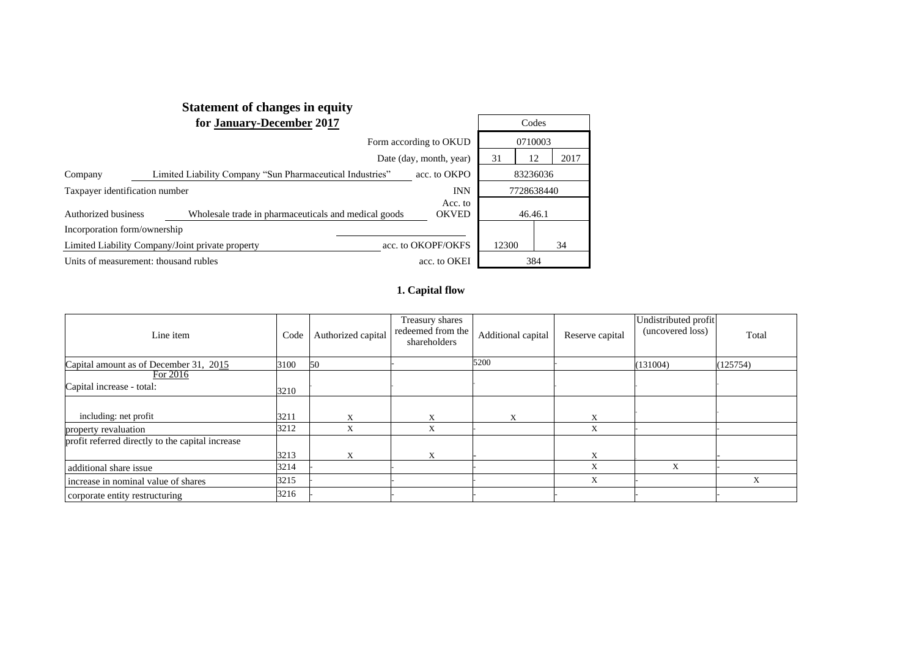|                                       | <b>Statement of changes in equity</b>                     |                         |       |            |
|---------------------------------------|-----------------------------------------------------------|-------------------------|-------|------------|
|                                       | for January-December 2017                                 |                         |       | Codes      |
|                                       |                                                           | Form according to OKUD  |       | 0710003    |
|                                       |                                                           | Date (day, month, year) | 31    | 2017<br>12 |
| Company                               | Limited Liability Company "Sun Pharmaceutical Industries" | acc. to OKPO            |       | 83236036   |
| Taxpayer identification number        |                                                           | <b>INN</b>              |       | 7728638440 |
| Authorized business                   | Wholesale trade in pharmaceuticals and medical goods      | Acc. to<br><b>OKVED</b> |       | 46.46.1    |
| Incorporation form/ownership          |                                                           |                         |       |            |
|                                       | Limited Liability Company/Joint private property          | acc. to OKOPF/OKFS      | 12300 | 34         |
| Units of measurement: thousand rubles | acc. to OKEI                                              |                         | 384   |            |

## **1. Capital flow**

| Line item                                        | Code | Authorized capital | Treasury shares<br>redeemed from the<br>shareholders | Additional capital | Reserve capital | Undistributed profit<br>(uncovered loss) | Total    |
|--------------------------------------------------|------|--------------------|------------------------------------------------------|--------------------|-----------------|------------------------------------------|----------|
| Capital amount as of December 31, 2015           | 3100 | 50                 |                                                      | 5200               |                 | (131004)                                 | (125754) |
| For 2016                                         |      |                    |                                                      |                    |                 |                                          |          |
| Capital increase - total:                        | 3210 |                    |                                                      |                    |                 |                                          |          |
|                                                  |      |                    |                                                      |                    |                 |                                          |          |
| including: net profit                            | 3211 | X                  | X                                                    | X                  | X               |                                          |          |
| property revaluation                             | 3212 | X                  | X                                                    |                    | X               |                                          |          |
| profit referred directly to the capital increase |      |                    |                                                      |                    |                 |                                          |          |
|                                                  | 3213 | X                  | X                                                    |                    | X               |                                          |          |
| additional share issue                           | 3214 |                    |                                                      |                    | X               | X                                        |          |
| increase in nominal value of shares              | 3215 |                    |                                                      |                    | X               |                                          | X        |
| corporate entity restructuring                   | 3216 |                    |                                                      |                    |                 |                                          |          |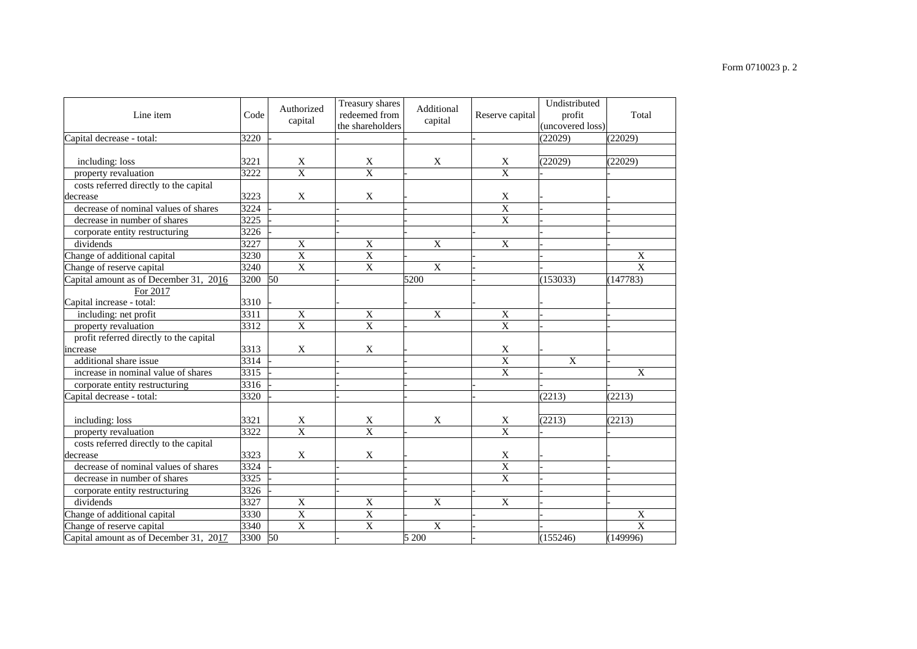#### Line item  $\csc \csc$  Code Authorized capital Treasury shares redeemed from the shareholders Additional Reserve capital Undistributed profit  $\frac{\text{(uncovered loss)}}{\text{(22029)}}$ Total Capital decrease - total: 3220 *-* - - - (22029) (22029) including: loss  $3221$  X X X X (22029) (22029) property revaluation 3222 X X - X X costs referred directly to the capital decrease 3223 X X - X - decrease of nominal values of shares  $\begin{array}{c|c}\n 3224 & - & - & - & \hline\n 3225 & - & - & - & - & \n\end{array}$ decrease in number of shares corporate entity restructuring 3226 dividends  $3227$  X  $X$   $X$   $X$   $X$   $X$   $Y$ Change of additional capital  $\begin{array}{|c|c|c|c|c|c|}\n\hline\n3230 & X & X & - & - & - & X \\
\hline\n\end{array}$  $Change of reserve capital$  3240 Capital amount as of December 31, 2016 3200 50  $\frac{1}{200}$  5200  $\frac{1}{200}$  5200  $\frac{1}{200}$  (153033) (147783) For 2017 Capital increase -  $\overline{\text{total}}$ :  $\overline{\text{3310}}$ including: net profit 3311 X X X X - property revaluation  $3312$  X  $\overline{X}$  X  $\overline{X}$  X profit referred directly to the capital increase 3313 X  $\vert$  X  $\vert$  X  $\vert$  X  $\vert$  X  $\vert$ additional share issue  $3314$  -  $\phantom{0}$ -<br>3314 -  $\phantom{0}$ -<br>1.  $\phantom{0}$ -<br>1.  $\phantom{0}$  X  $\phantom{0}$  X increase in nominal value of shares  $3315$  -  $\overline{\phantom{a}}$  -  $\overline{\phantom{a}}$  -  $\overline{\phantom{a}}$  -  $\overline{\phantom{a}}$   $\overline{\phantom{a}}$   $\overline{\phantom{a}}$   $\overline{\phantom{a}}$   $\overline{\phantom{a}}$   $\overline{\phantom{a}}$   $\overline{\phantom{a}}$   $\overline{\phantom{a}}$   $\overline{\phantom{a}}$   $\overline{\phantom{a}}$   $\overline{\phantom{a}}$   $\$ corporate entity restructuring 3316 Capital decrease - total: 3320 - - *-* - (2213) (2213) including: loss  $3321 \mid X \mid X \mid X \mid X \mid X \mid (2213)$  (2213) property revaluation 3322 X X - X X costs referred directly to the capital<br>lecrease decrease 2008 3323 X X + X + X + 2 decrease of nominal values of shares  $3324$  decrease in number of shares  $3325$  corporate entity restructuring 3326 dividends  $3327$  X  $X$  X  $X$  X  $+$ Change of additional capital 3330 X X - - - X Change of reserve capital 3340 X X X - - X Capital amount as of December 31, 2017 3300 50 - 5 200 - (155246) (149996)

#### Form 0710023 p. 2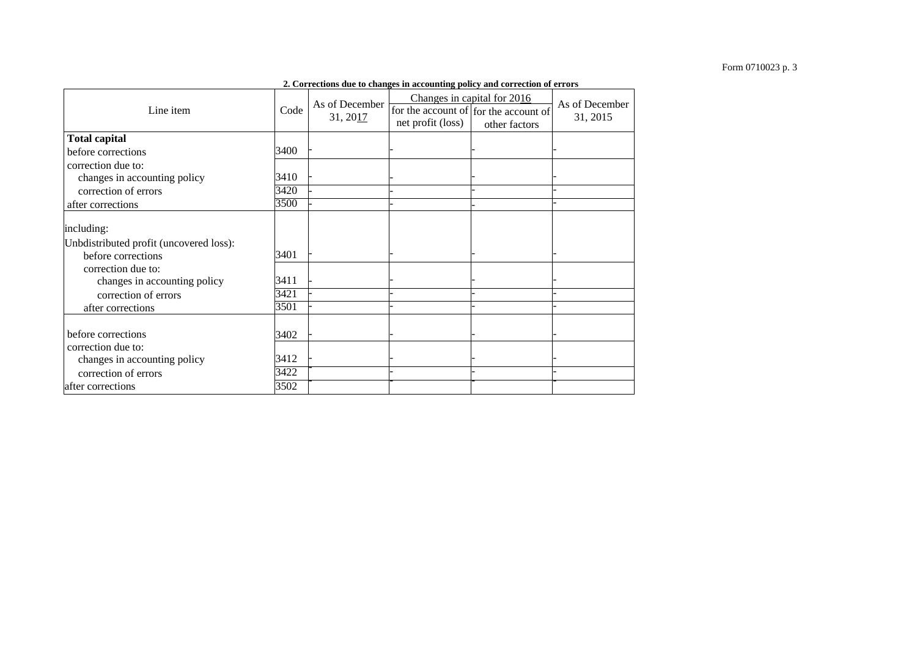|                                         |      |                            | 2. Corrections due to changes in accounting policy and correction of errors |                                                                                       |                            |
|-----------------------------------------|------|----------------------------|-----------------------------------------------------------------------------|---------------------------------------------------------------------------------------|----------------------------|
| Line item                               | Code | As of December<br>31, 2017 | net profit (loss)                                                           | Changes in capital for 2016<br>for the account of for the account of<br>other factors | As of December<br>31, 2015 |
| <b>Total capital</b>                    |      |                            |                                                                             |                                                                                       |                            |
| before corrections                      | 3400 |                            |                                                                             |                                                                                       |                            |
| correction due to:                      |      |                            |                                                                             |                                                                                       |                            |
| changes in accounting policy            | 3410 |                            |                                                                             |                                                                                       |                            |
| correction of errors                    | 3420 |                            |                                                                             |                                                                                       |                            |
| after corrections                       | 3500 |                            |                                                                             |                                                                                       |                            |
| including:                              |      |                            |                                                                             |                                                                                       |                            |
| Unbdistributed profit (uncovered loss): |      |                            |                                                                             |                                                                                       |                            |
| before corrections                      | 3401 |                            |                                                                             |                                                                                       |                            |
| correction due to:                      |      |                            |                                                                             |                                                                                       |                            |
| changes in accounting policy            | 3411 |                            |                                                                             |                                                                                       |                            |
| correction of errors                    | 3421 |                            |                                                                             |                                                                                       |                            |
| after corrections                       | 3501 |                            |                                                                             |                                                                                       |                            |
|                                         |      |                            |                                                                             |                                                                                       |                            |
| before corrections                      | 3402 |                            |                                                                             |                                                                                       |                            |
| correction due to:                      | 3412 |                            |                                                                             |                                                                                       |                            |
| changes in accounting policy            | 3422 |                            |                                                                             |                                                                                       |                            |
| correction of errors                    |      |                            |                                                                             |                                                                                       |                            |
| after corrections                       | 3502 |                            |                                                                             |                                                                                       |                            |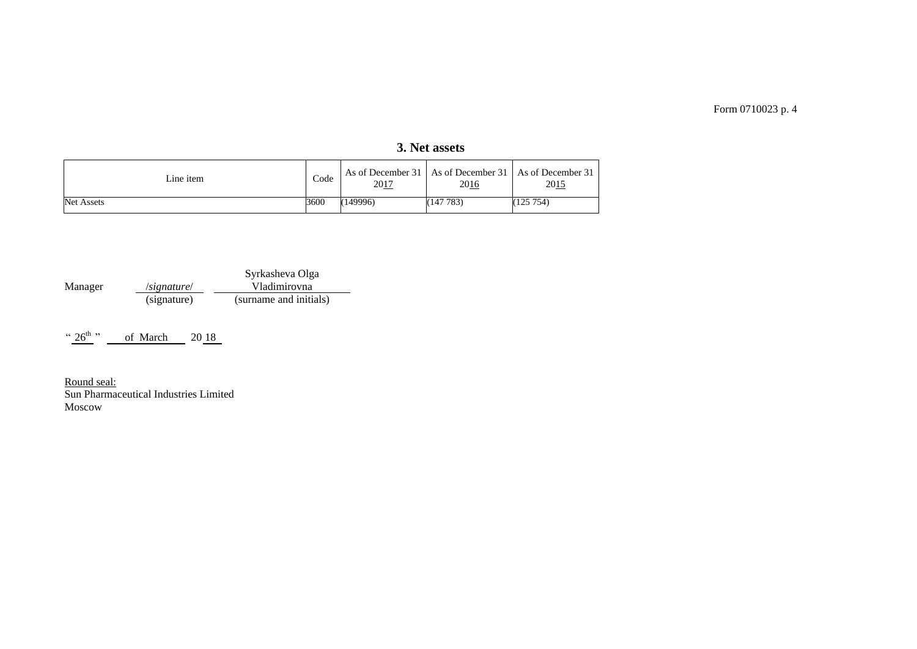| Line item         | Code | 2017     | 2016      | As of December 31   As of December 31   As of December 31  <br>2015 |
|-------------------|------|----------|-----------|---------------------------------------------------------------------|
| <b>Net Assets</b> | 3600 | (149996) | (147 783) | (125754)                                                            |

**3. Net assets**

|         |             | Syrkasheva Olga        |
|---------|-------------|------------------------|
| Manager | /signature/ | Vladimirovna           |
|         | (signature) | (surname and initials) |

" $26^{th}$ " of March 20 18

Round seal: Sun Pharmaceutical Industries Limited Moscow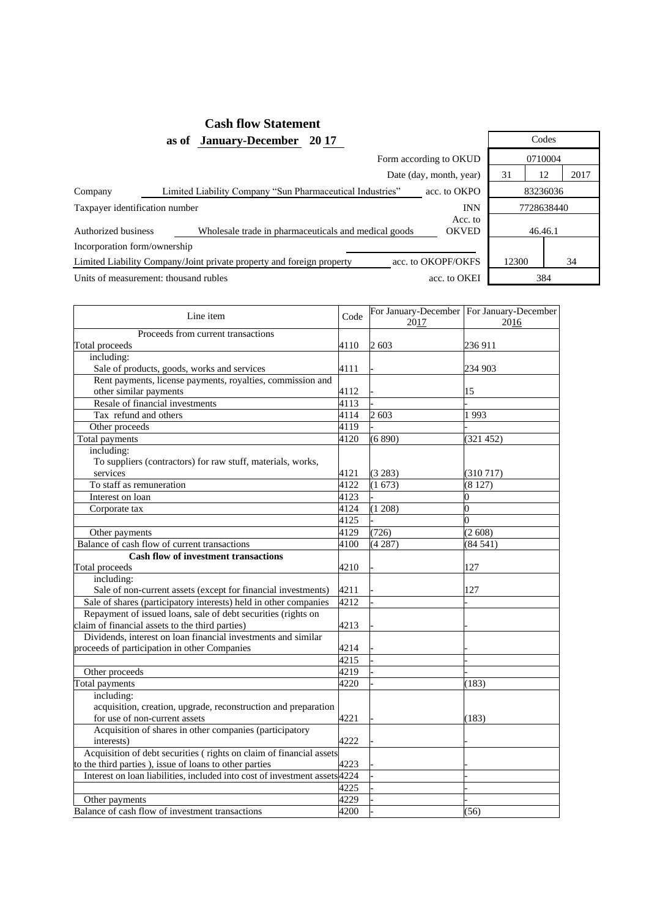## **Cash flow Statement as of January-December 20 17** Codes

|                                | Form according to OKUD                                                |                         |       |            |      |  |  |  |  |  |
|--------------------------------|-----------------------------------------------------------------------|-------------------------|-------|------------|------|--|--|--|--|--|
|                                |                                                                       | Date (day, month, year) | 31    | 12         | 2017 |  |  |  |  |  |
| Company                        | Limited Liability Company "Sun Pharmaceutical Industries"             | acc. to OKPO            |       | 83236036   |      |  |  |  |  |  |
| Taxpayer identification number |                                                                       | <b>INN</b>              |       | 7728638440 |      |  |  |  |  |  |
| Authorized business            | Wholesale trade in pharmaceuticals and medical goods                  | Acc. to<br><b>OKVED</b> |       | 46.46.1    |      |  |  |  |  |  |
| Incorporation form/ownership   |                                                                       |                         |       |            |      |  |  |  |  |  |
|                                | Limited Liability Company/Joint private property and foreign property | acc. to OKOPF/OKFS      | 12300 |            | 34   |  |  |  |  |  |
|                                | Units of measurement: thousand rubles                                 | acc. to OKEI            |       | 384        |      |  |  |  |  |  |

| Line item                                                                  | Code | 2017    | For January-December   For January-December<br>2016 |
|----------------------------------------------------------------------------|------|---------|-----------------------------------------------------|
| Proceeds from current transactions                                         |      |         |                                                     |
| Total proceeds                                                             | 4110 | 2 603   | 236 911                                             |
| including:                                                                 |      |         |                                                     |
| Sale of products, goods, works and services                                | 4111 |         | 234 903                                             |
| Rent payments, license payments, royalties, commission and                 |      |         |                                                     |
| other similar payments                                                     | 4112 |         | 15                                                  |
| Resale of financial investments                                            | 4113 |         |                                                     |
| Tax refund and others                                                      | 4114 | 2 603   | 1993                                                |
| Other proceeds                                                             | 4119 |         |                                                     |
| Total payments                                                             | 4120 | (6890)  | (321 452)                                           |
| including:                                                                 |      |         |                                                     |
| To suppliers (contractors) for raw stuff, materials, works,                |      |         |                                                     |
| services                                                                   | 4121 | (3 283) | (310717)                                            |
| To staff as remuneration                                                   | 4122 | (1673)  | (8127)                                              |
| Interest on loan                                                           | 4123 |         | 0                                                   |
| Corporate tax                                                              | 4124 | (1 208) | $\overline{0}$                                      |
|                                                                            | 4125 |         | $\Omega$                                            |
| Other payments                                                             | 4129 | (726)   | (2608)                                              |
| Balance of cash flow of current transactions                               | 4100 | (4287)  | (84541)                                             |
| <b>Cash flow of investment transactions</b>                                |      |         |                                                     |
| Total proceeds                                                             | 4210 |         | 127                                                 |
| including:                                                                 |      |         |                                                     |
| Sale of non-current assets (except for financial investments)              | 4211 |         | 127                                                 |
| Sale of shares (participatory interests) held in other companies           | 4212 |         |                                                     |
| Repayment of issued loans, sale of debt securities (rights on              |      |         |                                                     |
| claim of financial assets to the third parties)                            | 4213 |         |                                                     |
| Dividends, interest on loan financial investments and similar              |      |         |                                                     |
| proceeds of participation in other Companies                               | 4214 |         |                                                     |
|                                                                            | 4215 |         |                                                     |
| Other proceeds                                                             | 4219 |         |                                                     |
| Total payments                                                             | 4220 |         | (183)                                               |
| including:                                                                 |      |         |                                                     |
| acquisition, creation, upgrade, reconstruction and preparation             |      |         |                                                     |
| for use of non-current assets                                              | 4221 |         | (183)                                               |
| Acquisition of shares in other companies (participatory                    |      |         |                                                     |
| interests)                                                                 | 4222 |         |                                                     |
| Acquisition of debt securities (rights on claim of financial assets        |      |         |                                                     |
| to the third parties), issue of loans to other parties                     | 4223 |         |                                                     |
| Interest on loan liabilities, included into cost of investment assets 4224 |      |         |                                                     |
|                                                                            | 4225 |         |                                                     |
| Other payments                                                             | 4229 |         |                                                     |
| Balance of cash flow of investment transactions                            | 4200 |         | (56)                                                |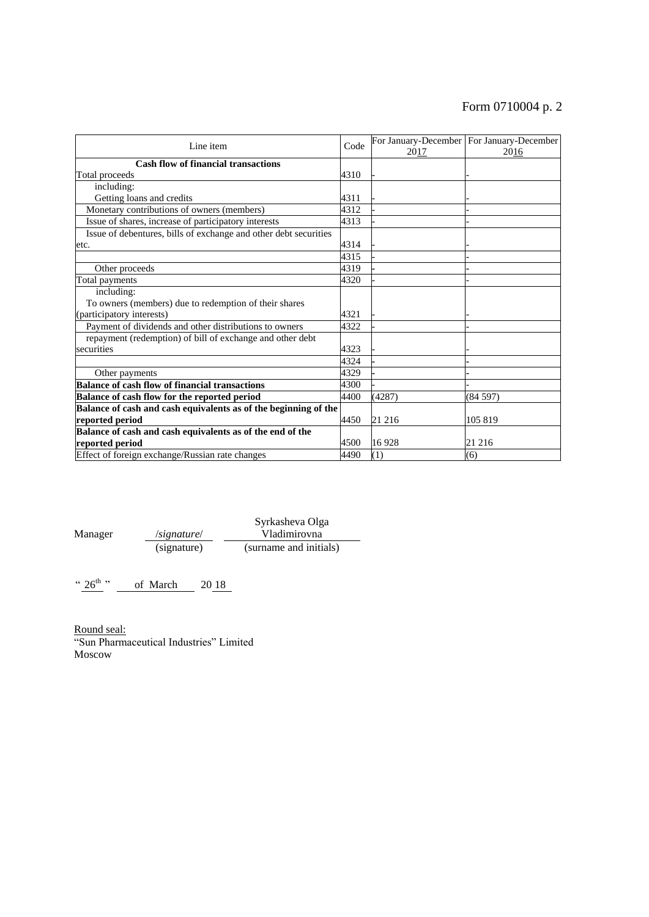# Form 0710004 p. 2

| Line item                                                        | Code | 2017   | For January-December   For January-December  <br>2016 |
|------------------------------------------------------------------|------|--------|-------------------------------------------------------|
| <b>Cash flow of financial transactions</b>                       |      |        |                                                       |
| Total proceeds                                                   | 4310 |        |                                                       |
| including:                                                       |      |        |                                                       |
| Getting loans and credits                                        | 4311 |        |                                                       |
| Monetary contributions of owners (members)                       | 4312 |        |                                                       |
| Issue of shares, increase of participatory interests             | 4313 |        |                                                       |
| Issue of debentures, bills of exchange and other debt securities |      |        |                                                       |
| etc.                                                             | 4314 |        |                                                       |
|                                                                  | 4315 |        |                                                       |
| Other proceeds                                                   | 4319 |        |                                                       |
| Total payments                                                   | 4320 |        |                                                       |
| including:                                                       |      |        |                                                       |
| To owners (members) due to redemption of their shares            |      |        |                                                       |
| (participatory interests)                                        | 4321 |        |                                                       |
| Payment of dividends and other distributions to owners           | 4322 |        |                                                       |
| repayment (redemption) of bill of exchange and other debt        |      |        |                                                       |
| securities                                                       | 4323 |        |                                                       |
|                                                                  | 4324 |        |                                                       |
| Other payments                                                   | 4329 |        |                                                       |
| <b>Balance of cash flow of financial transactions</b>            | 4300 |        |                                                       |
| Balance of cash flow for the reported period                     | 4400 | (4287) | (84597)                                               |
| Balance of cash and cash equivalents as of the beginning of the  |      |        |                                                       |
| reported period                                                  | 4450 | 21 216 | 105 819                                               |
| Balance of cash and cash equivalents as of the end of the        |      |        |                                                       |
| reported period                                                  | 4500 | 16928  | 21 216                                                |
| Effect of foreign exchange/Russian rate changes                  | 4490 | (1)    | (6)                                                   |

Manager /*signature*/ Syrkasheva Olga Vladimirovna (signature) (surname and initials)

"  $26^{th}$ " of March 20 18

Round seal: "Sun Pharmaceutical Industries" Limited Moscow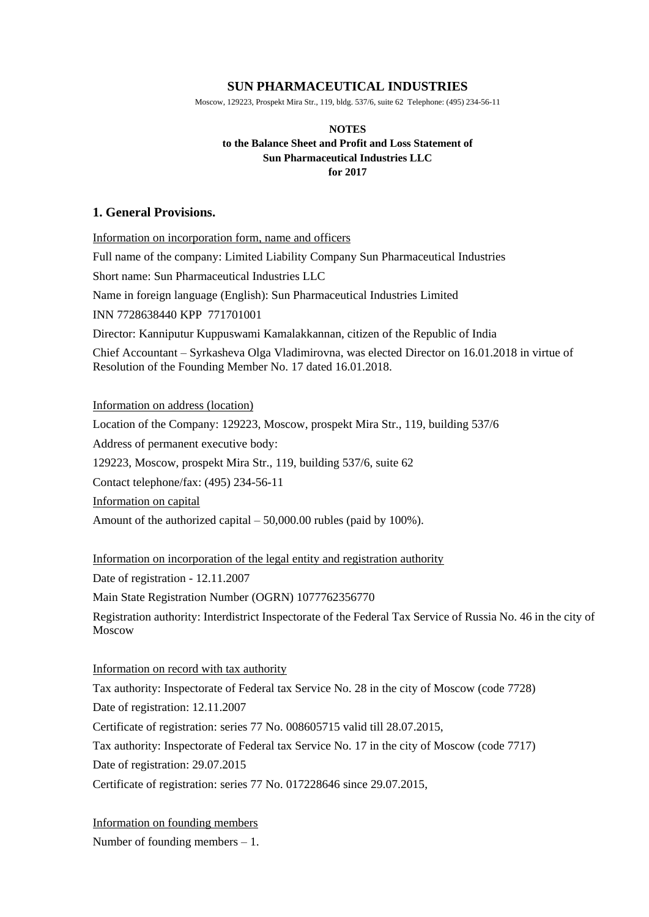## **SUN PHARMACEUTICAL INDUSTRIES**

Moscow, 129223, Prospekt Mira Str., 119, bldg. 537/6, suite 62 Telephone: (495) 234-56-11

## **NOTES to the Balance Sheet and Profit and Loss Statement of Sun Pharmaceutical Industries LLC for 2017**

## **1. General Provisions.**

Information on incorporation form, name and officers

Full name of the company: Limited Liability Company Sun Pharmaceutical Industries

Short name: Sun Pharmaceutical Industries LLC

Name in foreign language (English): Sun Pharmaceutical Industries Limited

INN 7728638440 KPP 771701001

Director: Kanniputur Kuppuswami Kamalakkannan, citizen of the Republic of India

Chief Accountant – Syrkasheva Olga Vladimirovna, was elected Director on 16.01.2018 in virtue of Resolution of the Founding Member No. 17 dated 16.01.2018.

Information on address (location)

Location of the Company: 129223, Moscow, prospekt Mira Str., 119, building 537/6

Address of permanent executive body:

129223, Moscow, prospekt Mira Str., 119, building 537/6, suite 62

Contact telephone/fax: (495) 234-56-11

Information on capital

Amount of the authorized capital – 50,000.00 rubles (paid by 100%).

Information on incorporation of the legal entity and registration authority

Date of registration - 12.11.2007

Main State Registration Number (OGRN) 1077762356770

Registration authority: Interdistrict Inspectorate of the Federal Tax Service of Russia No. 46 in the city of Moscow

Information on record with tax authority

Tax authority: Inspectorate of Federal tax Service No. 28 in the city of Moscow (code 7728) Date of registration: 12.11.2007

Certificate of registration: series 77 No. 008605715 valid till 28.07.2015,

Tax authority: Inspectorate of Federal tax Service No. 17 in the city of Moscow (code 7717)

Date of registration: 29.07.2015

Certificate of registration: series 77 No. 017228646 since 29.07.2015,

Information on founding members Number of founding members  $-1$ .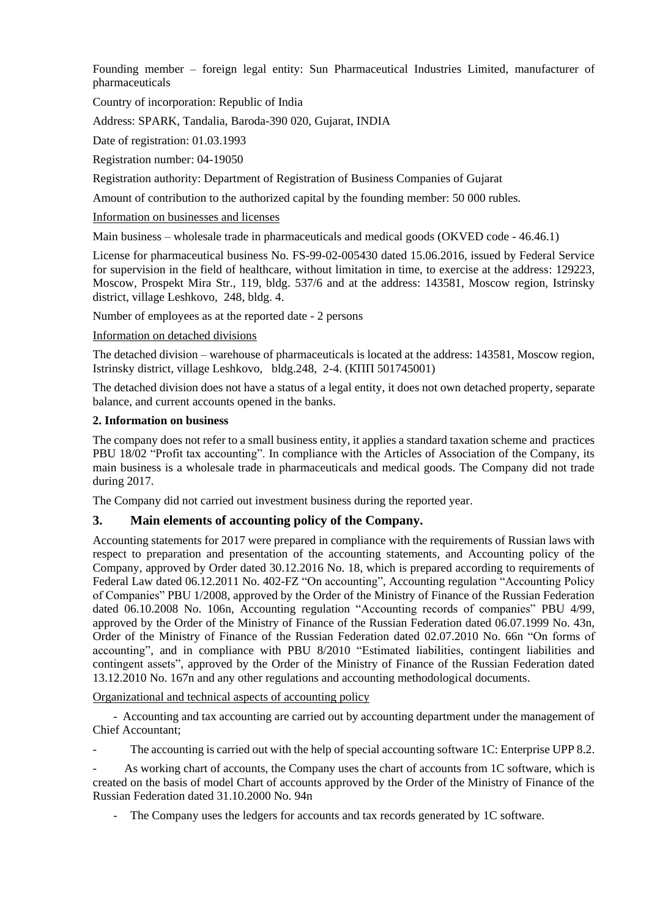Founding member – foreign legal entity: Sun Pharmaceutical Industries Limited, manufacturer of pharmaceuticals

Country of incorporation: Republic of India

Address: SPARK, Tandalia, Baroda-390 020, Gujarat, INDIA

Date of registration: 01.03.1993

Registration number: 04-19050

Registration authority: Department of Registration of Business Companies of Gujarat

Amount of contribution to the authorized capital by the founding member: 50 000 rubles.

Information on businesses and licenses

Main business – wholesale trade in pharmaceuticals and medical goods (OKVED code - 46.46.1)

License for pharmaceutical business No. FS-99-02-005430 dated 15.06.2016, issued by Federal Service for supervision in the field of healthcare, without limitation in time, to exercise at the address: 129223, Moscow, Prospekt Mira Str., 119, bldg. 537/6 and at the address: 143581, Moscow region, Istrinsky district, village Leshkovo, 248, bldg. 4.

Number of employees as at the reported date - 2 persons

### Information on detached divisions

The detached division – warehouse of pharmaceuticals is located at the address: 143581, Moscow region, Istrinsky district, village Leshkovo, bldg.248, 2-4. (КПП 501745001)

The detached division does not have a status of a legal entity, it does not own detached property, separate balance, and current accounts opened in the banks.

## **2. Information on business**

The company does not refer to a small business entity, it applies a standard taxation scheme and practices PBU 18/02 "Profit tax accounting". In compliance with the Articles of Association of the Company, its main business is a wholesale trade in pharmaceuticals and medical goods. The Company did not trade during 2017.

The Company did not carried out investment business during the reported year.

## **3. Main elements of accounting policy of the Company.**

Accounting statements for 2017 were prepared in compliance with the requirements of Russian laws with respect to preparation and presentation of the accounting statements, and Accounting policy of the Company, approved by Order dated 30.12.2016 No. 18, which is prepared according to requirements of Federal Law dated 06.12.2011 No. 402-FZ "On accounting", Accounting regulation "Accounting Policy of Companies" PBU 1/2008, approved by the Order of the Ministry of Finance of the Russian Federation dated 06.10.2008 No. 106n, Accounting regulation "Accounting records of companies" PBU 4/99, approved by the Order of the Ministry of Finance of the Russian Federation dated 06.07.1999 No. 43n, Order of the Ministry of Finance of the Russian Federation dated 02.07.2010 No. 66n "On forms of accounting", and in compliance with PBU 8/2010 "Estimated liabilities, contingent liabilities and contingent assets", approved by the Order of the Ministry of Finance of the Russian Federation dated 13.12.2010 No. 167n and any other regulations and accounting methodological documents.

Organizational and technical aspects of accounting policy

- Accounting and tax accounting are carried out by accounting department under the management of Chief Accountant;

The accounting is carried out with the help of special accounting software 1C: Enterprise UPP 8.2.

As working chart of accounts, the Company uses the chart of accounts from 1C software, which is created on the basis of model Chart of accounts approved by the Order of the Ministry of Finance of the Russian Federation dated 31.10.2000 No. 94n

- The Company uses the ledgers for accounts and tax records generated by 1C software.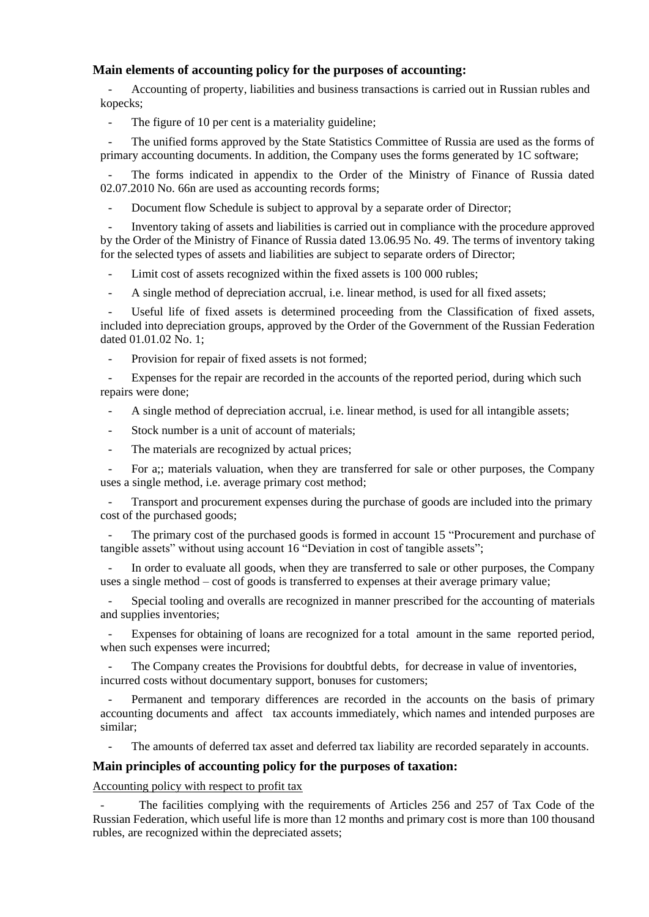## **Main elements of accounting policy for the purposes of accounting:**

- Accounting of property, liabilities and business transactions is carried out in Russian rubles and kopecks;

- The figure of 10 per cent is a materiality guideline;

The unified forms approved by the State Statistics Committee of Russia are used as the forms of primary accounting documents. In addition, the Company uses the forms generated by 1C software;

The forms indicated in appendix to the Order of the Ministry of Finance of Russia dated 02.07.2010 No. 66n are used as accounting records forms;

Document flow Schedule is subject to approval by a separate order of Director;

- Inventory taking of assets and liabilities is carried out in compliance with the procedure approved by the Order of the Ministry of Finance of Russia dated 13.06.95 No. 49. The terms of inventory taking for the selected types of assets and liabilities are subject to separate orders of Director;

Limit cost of assets recognized within the fixed assets is 100 000 rubles;

- A single method of depreciation accrual, i.e. linear method, is used for all fixed assets;

Useful life of fixed assets is determined proceeding from the Classification of fixed assets, included into depreciation groups, approved by the Order of the Government of the Russian Federation dated 01.01.02 No. 1;

Provision for repair of fixed assets is not formed;

Expenses for the repair are recorded in the accounts of the reported period, during which such repairs were done;

- A single method of depreciation accrual, i.e. linear method, is used for all intangible assets;

Stock number is a unit of account of materials;

The materials are recognized by actual prices;

For a;; materials valuation, when they are transferred for sale or other purposes, the Company uses a single method, i.e. average primary cost method;

- Transport and procurement expenses during the purchase of goods are included into the primary cost of the purchased goods;

The primary cost of the purchased goods is formed in account 15 "Procurement and purchase of tangible assets" without using account 16 "Deviation in cost of tangible assets";

In order to evaluate all goods, when they are transferred to sale or other purposes, the Company uses a single method – cost of goods is transferred to expenses at their average primary value;

Special tooling and overalls are recognized in manner prescribed for the accounting of materials and supplies inventories;

Expenses for obtaining of loans are recognized for a total amount in the same reported period, when such expenses were incurred;

The Company creates the Provisions for doubtful debts, for decrease in value of inventories, incurred costs without documentary support, bonuses for customers;

Permanent and temporary differences are recorded in the accounts on the basis of primary accounting documents and affect tax accounts immediately, which names and intended purposes are similar;

The amounts of deferred tax asset and deferred tax liability are recorded separately in accounts.

## **Main principles of accounting policy for the purposes of taxation:**

Accounting policy with respect to profit tax

The facilities complying with the requirements of Articles 256 and 257 of Tax Code of the Russian Federation, which useful life is more than 12 months and primary cost is more than 100 thousand rubles, are recognized within the depreciated assets;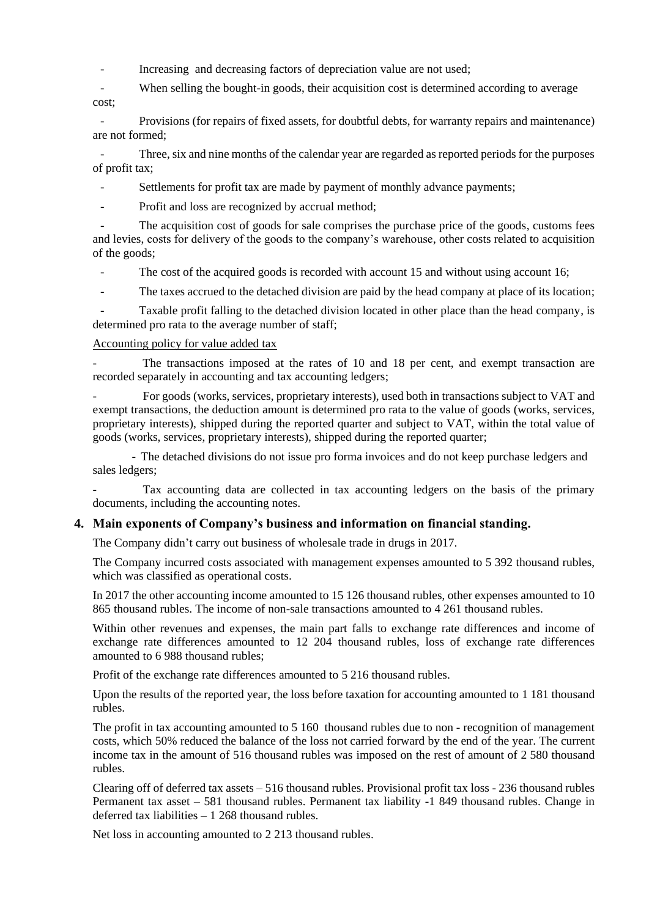- Increasing and decreasing factors of depreciation value are not used;
- When selling the bought-in goods, their acquisition cost is determined according to average cost;

- Provisions (for repairs of fixed assets, for doubtful debts, for warranty repairs and maintenance) are not formed;

Three, six and nine months of the calendar year are regarded as reported periods for the purposes of profit tax;

Settlements for profit tax are made by payment of monthly advance payments;

Profit and loss are recognized by accrual method;

The acquisition cost of goods for sale comprises the purchase price of the goods, customs fees and levies, costs for delivery of the goods to the company's warehouse, other costs related to acquisition of the goods;

The cost of the acquired goods is recorded with account 15 and without using account 16;

- The taxes accrued to the detached division are paid by the head company at place of its location;

Taxable profit falling to the detached division located in other place than the head company, is determined pro rata to the average number of staff;

### Accounting policy for value added tax

The transactions imposed at the rates of 10 and 18 per cent, and exempt transaction are recorded separately in accounting and tax accounting ledgers;

- For goods (works, services, proprietary interests), used both in transactions subject to VAT and exempt transactions, the deduction amount is determined pro rata to the value of goods (works, services, proprietary interests), shipped during the reported quarter and subject to VAT, within the total value of goods (works, services, proprietary interests), shipped during the reported quarter;

- The detached divisions do not issue pro forma invoices and do not keep purchase ledgers and sales ledgers;

Tax accounting data are collected in tax accounting ledgers on the basis of the primary documents, including the accounting notes.

## **4. Main exponents of Company's business and information on financial standing.**

The Company didn't carry out business of wholesale trade in drugs in 2017.

The Company incurred costs associated with management expenses amounted to 5 392 thousand rubles, which was classified as operational costs.

In 2017 the other accounting income amounted to 15 126 thousand rubles, other expenses amounted to 10 865 thousand rubles. The income of non-sale transactions amounted to 4 261 thousand rubles.

Within other revenues and expenses, the main part falls to exchange rate differences and income of exchange rate differences amounted to 12 204 thousand rubles, loss of exchange rate differences amounted to 6 988 thousand rubles;

Profit of the exchange rate differences amounted to 5 216 thousand rubles.

Upon the results of the reported year, the loss before taxation for accounting amounted to 1 181 thousand rubles.

The profit in tax accounting amounted to 5 160 thousand rubles due to non - recognition of management costs, which 50% reduced the balance of the loss not carried forward by the end of the year. The current income tax in the amount of 516 thousand rubles was imposed on the rest of amount of 2 580 thousand rubles.

Clearing off of deferred tax assets – 516 thousand rubles. Provisional profit tax loss - 236 thousand rubles Permanent tax asset – 581 thousand rubles. Permanent tax liability -1 849 thousand rubles. Change in deferred tax liabilities  $-1268$  thousand rubles.

Net loss in accounting amounted to 2 213 thousand rubles.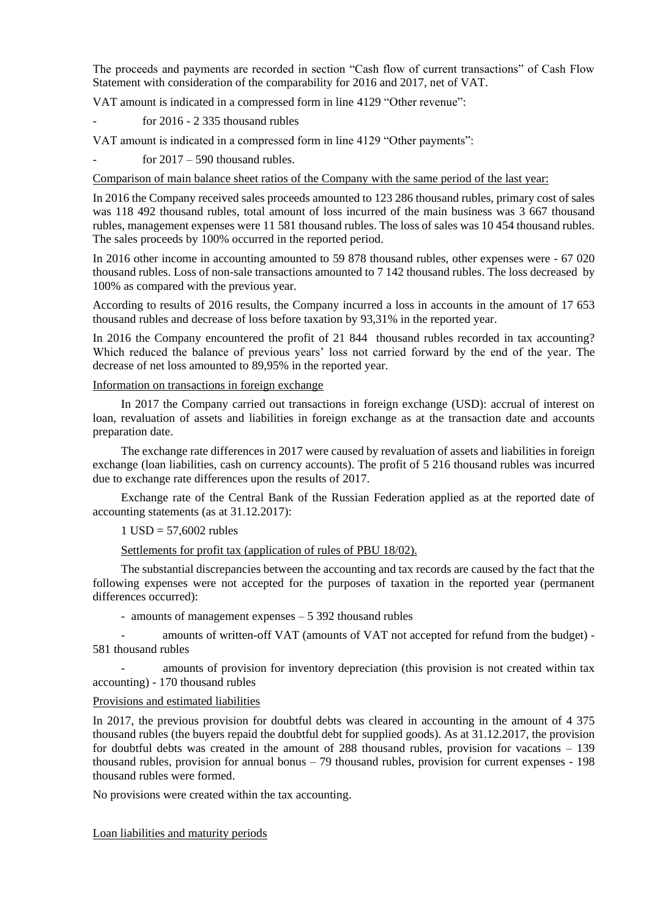The proceeds and payments are recorded in section "Cash flow of current transactions" of Cash Flow Statement with consideration of the comparability for 2016 and 2017, net of VAT.

VAT amount is indicated in a compressed form in line 4129 "Other revenue":

for  $2016 - 2335$  thousand rubles

VAT amount is indicated in a compressed form in line 4129 "Other payments":

for  $2017 - 590$  thousand rubles.

Comparison of main balance sheet ratios of the Company with the same period of the last year:

In 2016 the Company received sales proceeds amounted to 123 286 thousand rubles, primary cost of sales was 118 492 thousand rubles, total amount of loss incurred of the main business was 3 667 thousand rubles, management expenses were 11 581 thousand rubles. The loss of sales was 10 454 thousand rubles. The sales proceeds by 100% occurred in the reported period.

In 2016 other income in accounting amounted to 59 878 thousand rubles, other expenses were - 67 020 thousand rubles. Loss of non-sale transactions amounted to 7 142 thousand rubles. The loss decreased by 100% as compared with the previous year.

According to results of 2016 results, the Company incurred a loss in accounts in the amount of 17 653 thousand rubles and decrease of loss before taxation by 93,31% in the reported year.

In 2016 the Company encountered the profit of 21 844 thousand rubles recorded in tax accounting? Which reduced the balance of previous years' loss not carried forward by the end of the year. The decrease of net loss amounted to 89,95% in the reported year.

### Information on transactions in foreign exchange

In 2017 the Company carried out transactions in foreign exchange (USD): accrual of interest on loan, revaluation of assets and liabilities in foreign exchange as at the transaction date and accounts preparation date.

The exchange rate differences in 2017 were caused by revaluation of assets and liabilities in foreign exchange (loan liabilities, cash on currency accounts). The profit of 5 216 thousand rubles was incurred due to exchange rate differences upon the results of 2017.

Exchange rate of the Central Bank of the Russian Federation applied as at the reported date of accounting statements (as at 31.12.2017):

### $1$  USD = 57,6002 rubles

Settlements for profit tax (application of rules of PBU 18/02).

The substantial discrepancies between the accounting and tax records are caused by the fact that the following expenses were not accepted for the purposes of taxation in the reported year (permanent differences occurred):

- amounts of management expenses – 5 392 thousand rubles

amounts of written-off VAT (amounts of VAT not accepted for refund from the budget) -581 thousand rubles

- amounts of provision for inventory depreciation (this provision is not created within tax accounting) - 170 thousand rubles

## Provisions and estimated liabilities

In 2017, the previous provision for doubtful debts was cleared in accounting in the amount of 4 375 thousand rubles (the buyers repaid the doubtful debt for supplied goods). As at 31.12.2017, the provision for doubtful debts was created in the amount of 288 thousand rubles, provision for vacations – 139 thousand rubles, provision for annual bonus – 79 thousand rubles, provision for current expenses - 198 thousand rubles were formed.

No provisions were created within the tax accounting.

Loan liabilities and maturity periods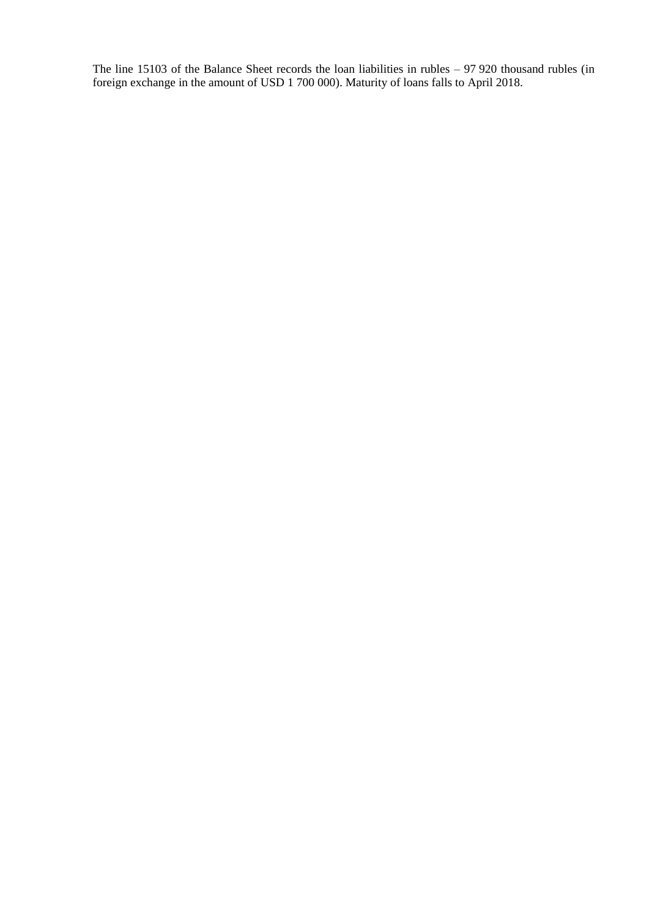The line 15103 of the Balance Sheet records the loan liabilities in rubles – 97 920 thousand rubles (in foreign exchange in the amount of USD 1 700 000). Maturity of loans falls to April 2018.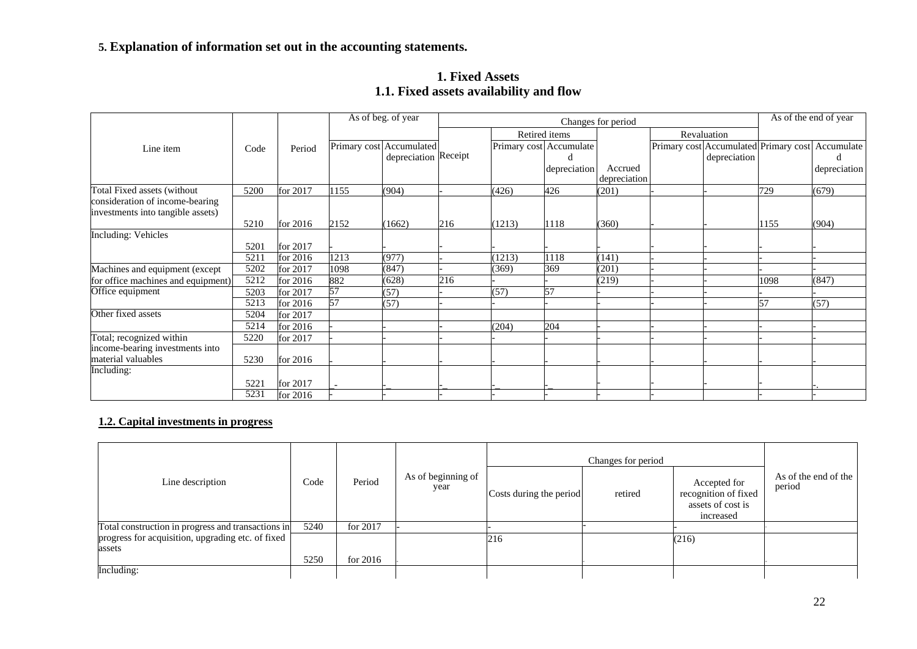## **5. Explanation of information set out in the accounting statements.**

|                                    |      |          |      | As of beg. of year                               |     |        |                         | As of the end of year   |  |                                                       |      |              |
|------------------------------------|------|----------|------|--------------------------------------------------|-----|--------|-------------------------|-------------------------|--|-------------------------------------------------------|------|--------------|
|                                    |      |          |      |                                                  |     |        | Retired items           |                         |  | Revaluation                                           |      |              |
| Line item                          | Code | Period   |      | Primary cost Accumulated<br>depreciation Receipt |     |        | Primary cost Accumulate |                         |  | Primary cost Accumulated Primary cost<br>depreciation |      | Accumulate   |
|                                    |      |          |      |                                                  |     |        | depreciation            | Accrued<br>depreciation |  |                                                       |      | depreciation |
| Total Fixed assets (without        | 5200 | for 2017 | 1155 | (904)                                            |     | (426)  | 426                     | (201)                   |  |                                                       | 729  | (679)        |
| consideration of income-bearing    |      |          |      |                                                  |     |        |                         |                         |  |                                                       |      |              |
| investments into tangible assets)  |      |          |      |                                                  |     |        |                         |                         |  |                                                       |      |              |
|                                    | 5210 | for 2016 | 2152 | (1662)                                           | 216 | (1213) | 1118                    | (360)                   |  |                                                       | 1155 | (904)        |
| <b>Including: Vehicles</b>         |      |          |      |                                                  |     |        |                         |                         |  |                                                       |      |              |
|                                    | 5201 | for 2017 |      |                                                  |     |        |                         |                         |  |                                                       |      |              |
|                                    | 5211 | for 2016 | 1213 | (977)                                            |     | (1213) | 1118                    | (141)                   |  |                                                       |      |              |
| Machines and equipment (except     | 5202 | for 2017 | 1098 | (847)                                            |     | (369)  | 369                     | (201)                   |  |                                                       |      |              |
| for office machines and equipment) | 5212 | for 2016 | 882  | (628)                                            | 216 |        |                         | (219)                   |  |                                                       | 1098 | (847)        |
| Office equipment                   | 5203 | for 2017 | 57   | (57)                                             |     | (57)   | 57                      |                         |  |                                                       |      |              |
|                                    | 5213 | for 2016 | 57   | (57)                                             |     |        |                         |                         |  |                                                       | 57   | (57)         |
| Other fixed assets                 | 5204 | for 2017 |      |                                                  |     |        |                         |                         |  |                                                       |      |              |
|                                    | 5214 | for 2016 |      |                                                  |     | (204)  | 204                     |                         |  |                                                       |      |              |
| Total; recognized within           | 5220 | for 2017 |      |                                                  |     |        |                         |                         |  |                                                       |      |              |
| income-bearing investments into    |      |          |      |                                                  |     |        |                         |                         |  |                                                       |      |              |
| material valuables                 | 5230 | for 2016 |      |                                                  |     |        |                         |                         |  |                                                       |      |              |
| Including:                         |      |          |      |                                                  |     |        |                         |                         |  |                                                       |      |              |
|                                    | 5221 | for 2017 |      |                                                  |     |        |                         |                         |  |                                                       |      |              |
|                                    | 5231 | for 2016 |      |                                                  |     |        |                         |                         |  |                                                       |      |              |

## **1. Fixed Assets 1.1. Fixed assets availability and flow**

## **1.2. Capital investments in progress**

|                                                             |      |            |                            |                         | Changes for period |                                                                        |                                |
|-------------------------------------------------------------|------|------------|----------------------------|-------------------------|--------------------|------------------------------------------------------------------------|--------------------------------|
| Line description                                            | Code | Period     | As of beginning of<br>year | Costs during the period | retired            | Accepted for<br>recognition of fixed<br>assets of cost is<br>increased | As of the end of the<br>period |
| Total construction in progress and transactions in          | 5240 | for 2017   |                            |                         |                    |                                                                        |                                |
| progress for acquisition, upgrading etc. of fixed<br>assets |      |            |                            | 216                     |                    | (216)                                                                  |                                |
|                                                             | 5250 | for $2016$ |                            |                         |                    |                                                                        |                                |
| Including:                                                  |      |            |                            |                         |                    |                                                                        |                                |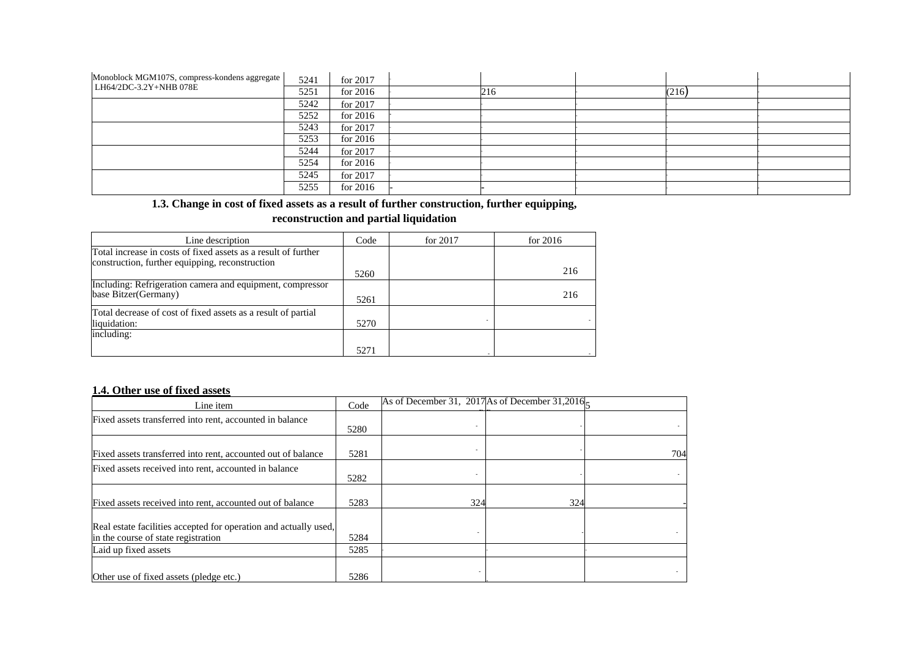| Monoblock MGM107S, compress-kondens aggregate | 5241 | for 2017   |     |       |  |
|-----------------------------------------------|------|------------|-----|-------|--|
| LH64/2DC-3.2Y+NHB 078E                        | 5251 | for $2016$ | 216 | (216) |  |
|                                               | 5242 | for 2017   |     |       |  |
|                                               | 5252 | for $2016$ |     |       |  |
|                                               | 5243 | for 2017   |     |       |  |
|                                               | 5253 | for $2016$ |     |       |  |
|                                               | 5244 | for 2017   |     |       |  |
|                                               | 5254 | for $2016$ |     |       |  |
|                                               | 5245 | for 2017   |     |       |  |
|                                               | 5255 | for $2016$ |     |       |  |

**1.3. Change in cost of fixed assets as a result of further construction, further equipping,**

#### **reconstruction and partial liquidation**

| Line description                                               | Code | for $2017$ | for $2016$ |
|----------------------------------------------------------------|------|------------|------------|
| Total increase in costs of fixed assets as a result of further |      |            |            |
| construction, further equipping, reconstruction                |      |            |            |
|                                                                | 5260 |            | 216        |
| Including: Refrigeration camera and equipment, compressor      |      |            |            |
| base Bitzer (Germany)                                          | 5261 |            | 216        |
| Total decrease of cost of fixed assets as a result of partial  |      |            |            |
| liquidation:                                                   | 5270 |            |            |
| including:                                                     |      |            |            |
|                                                                | 5271 |            |            |

## **1.4. Other use of fixed assets**

| Line item                                                                                               | Code | As of December 31, 2017 As of December 31,2016 $\zeta$ |     |     |
|---------------------------------------------------------------------------------------------------------|------|--------------------------------------------------------|-----|-----|
| Fixed assets transferred into rent, accounted in balance                                                | 5280 |                                                        |     |     |
| Fixed assets transferred into rent, accounted out of balance                                            | 5281 |                                                        |     | 704 |
| Fixed assets received into rent, accounted in balance                                                   | 5282 |                                                        |     |     |
| Fixed assets received into rent, accounted out of balance                                               | 5283 | 324                                                    | 324 |     |
| Real estate facilities accepted for operation and actually used,<br>in the course of state registration | 5284 |                                                        |     |     |
| Laid up fixed assets                                                                                    | 5285 |                                                        |     |     |
| Other use of fixed assets (pledge etc.)                                                                 | 5286 |                                                        |     |     |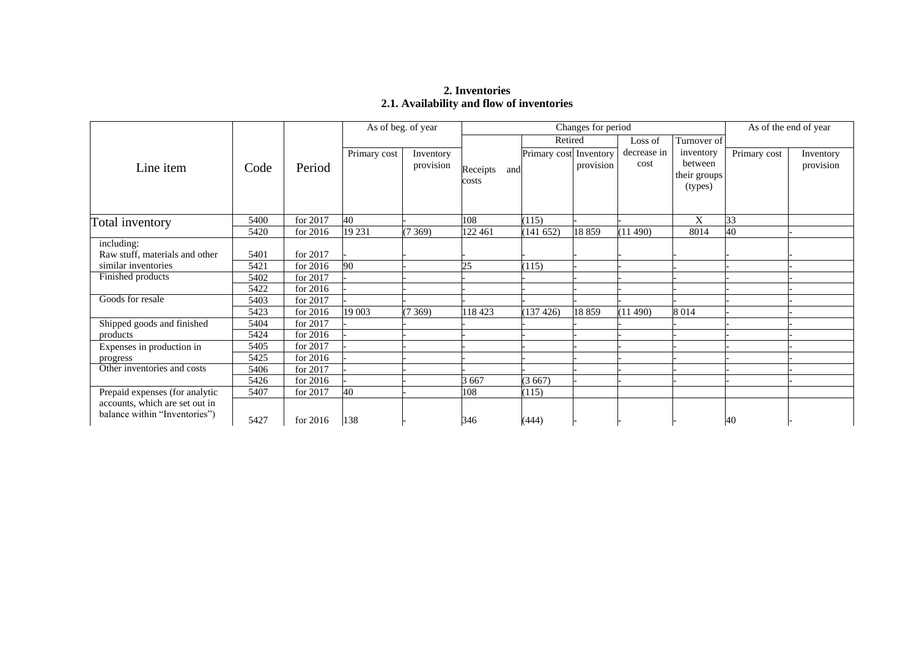## **2. Inventories 2.1. Availability and flow of inventories**

|                                                                 |      |            | As of beg. of year |                        |                 | Changes for period     | As of the end of year |                     |                         |              |                        |
|-----------------------------------------------------------------|------|------------|--------------------|------------------------|-----------------|------------------------|-----------------------|---------------------|-------------------------|--------------|------------------------|
|                                                                 |      |            |                    |                        |                 | Retired                |                       | Loss of             | Turnover of             |              |                        |
| Line item                                                       | Code | Period     | Primary cost       | Inventory<br>provision | Receipts<br>and | Primary cost Inventory | provision             | decrease in<br>cost | inventory<br>between    | Primary cost | Inventory<br>provision |
|                                                                 |      |            |                    |                        | costs           |                        |                       |                     | their groups<br>(types) |              |                        |
| Total inventory                                                 | 5400 | for 2017   | 40                 |                        | 108             | (115)                  |                       |                     | X                       | 33           |                        |
|                                                                 | 5420 | for 2016   | 19 231             | (7369)                 | 122 461         | (141 652)              | 18859                 | (11490)             | 8014                    | 40           |                        |
| including:                                                      |      |            |                    |                        |                 |                        |                       |                     |                         |              |                        |
| Raw stuff, materials and other                                  | 5401 | for 2017   |                    |                        |                 |                        |                       |                     |                         |              |                        |
| similar inventories                                             | 5421 | for $2016$ | 90                 |                        | 25              | (115)                  |                       |                     |                         |              |                        |
| Finished products                                               | 5402 | for 2017   |                    |                        |                 |                        |                       |                     |                         |              |                        |
|                                                                 | 5422 | for $2016$ |                    |                        |                 |                        |                       |                     |                         |              |                        |
| Goods for resale                                                | 5403 | for 2017   |                    |                        |                 |                        |                       |                     |                         |              |                        |
|                                                                 | 5423 | for 2016   | 19 003             | (7369)                 | 118 423         | (137 426)              | 18859                 | (11 490)            | 8 0 1 4                 |              |                        |
| Shipped goods and finished                                      | 5404 | for 2017   |                    |                        |                 |                        |                       |                     |                         |              |                        |
| products                                                        | 5424 | for $2016$ |                    |                        |                 |                        |                       |                     |                         |              |                        |
| Expenses in production in                                       | 5405 | for 2017   |                    |                        |                 |                        |                       |                     |                         |              |                        |
| progress                                                        | 5425 | for $2016$ |                    |                        |                 |                        |                       |                     |                         |              |                        |
| Other inventories and costs                                     | 5406 | for 2017   |                    |                        |                 |                        |                       |                     |                         |              |                        |
|                                                                 | 5426 | for 2016   |                    |                        | 3 6 6 7         | (3667)                 |                       |                     |                         |              |                        |
| Prepaid expenses (for analytic                                  | 5407 | for 2017   | 40                 |                        | 108             | (115)                  |                       |                     |                         |              |                        |
| accounts, which are set out in<br>balance within "Inventories") | 5427 | for $2016$ | 138                |                        | 346             | (444)                  |                       |                     |                         | 40           |                        |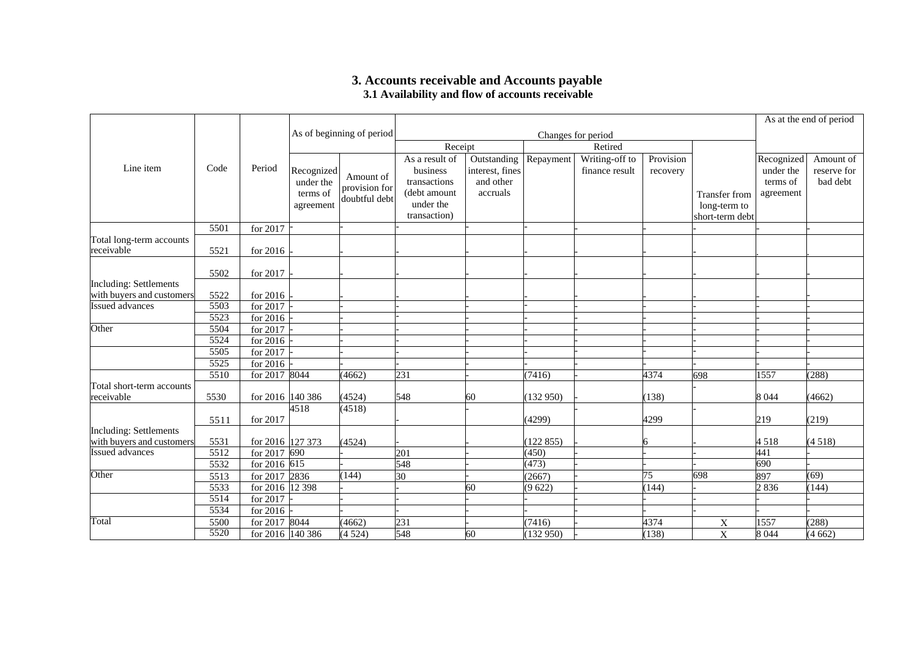## **3. Accounts receivable and Accounts payable 3.1 Availability and flow of accounts receivable**

|                                         |      |                  |                                                  |                                             |                                                                                         |                                                         |           |                                  |                       |                                                  |                                                  | As at the end of period              |
|-----------------------------------------|------|------------------|--------------------------------------------------|---------------------------------------------|-----------------------------------------------------------------------------------------|---------------------------------------------------------|-----------|----------------------------------|-----------------------|--------------------------------------------------|--------------------------------------------------|--------------------------------------|
|                                         |      |                  |                                                  | As of beginning of period                   |                                                                                         |                                                         |           | Changes for period               |                       |                                                  |                                                  |                                      |
|                                         |      |                  |                                                  |                                             | Receipt                                                                                 |                                                         |           |                                  |                       |                                                  |                                                  |                                      |
| Line item                               | Code | Period           | Recognized<br>under the<br>terms of<br>agreement | Amount of<br>provision for<br>doubtful debt | As a result of<br>business<br>transactions<br>(debt amount<br>under the<br>transaction) | Outstanding<br>interest, fines<br>and other<br>accruals | Repayment | Writing-off to<br>finance result | Provision<br>recovery | Transfer from<br>long-term to<br>short-term debt | Recognized<br>under the<br>terms of<br>agreement | Amount of<br>reserve for<br>bad debt |
|                                         | 5501 | for 2017         |                                                  |                                             |                                                                                         |                                                         |           |                                  |                       |                                                  |                                                  |                                      |
| Total long-term accounts<br>receivable  | 5521 | for 2016         |                                                  |                                             |                                                                                         |                                                         |           |                                  |                       |                                                  |                                                  |                                      |
|                                         | 5502 | for 2017         |                                                  |                                             |                                                                                         |                                                         |           |                                  |                       |                                                  |                                                  |                                      |
| <b>Including: Settlements</b>           |      |                  |                                                  |                                             |                                                                                         |                                                         |           |                                  |                       |                                                  |                                                  |                                      |
| with buyers and customers               | 5522 | for 2016         |                                                  |                                             |                                                                                         |                                                         |           |                                  |                       |                                                  |                                                  |                                      |
| <b>Issued advances</b>                  | 5503 | for 2017         |                                                  |                                             |                                                                                         |                                                         |           |                                  |                       |                                                  |                                                  |                                      |
|                                         | 5523 | for 2016         |                                                  |                                             |                                                                                         |                                                         |           |                                  |                       |                                                  |                                                  |                                      |
| Other                                   | 5504 | for 2017         |                                                  |                                             |                                                                                         |                                                         |           |                                  |                       |                                                  |                                                  |                                      |
|                                         | 5524 | for 2016         |                                                  |                                             |                                                                                         |                                                         |           |                                  |                       |                                                  |                                                  |                                      |
|                                         | 5505 | for 2017         |                                                  |                                             |                                                                                         |                                                         |           |                                  |                       |                                                  |                                                  |                                      |
|                                         | 5525 | for 2016         |                                                  |                                             |                                                                                         |                                                         |           |                                  |                       |                                                  |                                                  |                                      |
|                                         | 5510 | for 2017 8044    |                                                  | (4662)                                      | 231                                                                                     |                                                         | (7416)    |                                  | 4374                  | 698                                              | 1557                                             | (288)                                |
| Total short-term accounts<br>receivable | 5530 | for 2016 140 386 |                                                  | (4524)                                      | 548                                                                                     | 60                                                      | (132950)  |                                  | (138)                 |                                                  | 8 0 4 4                                          | (4662)                               |
|                                         | 5511 | for 2017         | 4518                                             | (4518)                                      |                                                                                         |                                                         | (4299)    |                                  | 4299                  |                                                  | 219                                              | (219)                                |
| <b>Including: Settlements</b>           |      |                  |                                                  |                                             |                                                                                         |                                                         |           |                                  |                       |                                                  |                                                  |                                      |
| with buyers and customers               | 5531 | for 2016 127 373 |                                                  | (4524)                                      |                                                                                         |                                                         | (122855)  |                                  | 6                     |                                                  | 4518                                             | (4518)                               |
| <b>Issued advances</b>                  | 5512 | for 2017 690     |                                                  |                                             | 201                                                                                     |                                                         | (450)     |                                  |                       |                                                  | 441                                              |                                      |
|                                         | 5532 | for 2016 615     |                                                  |                                             | 548                                                                                     |                                                         | (473)     |                                  |                       |                                                  | 690                                              |                                      |
| Other                                   | 5513 | for 2017 2836    |                                                  | (144)                                       | 30                                                                                      |                                                         | (2667)    |                                  | $\overline{75}$       | 698                                              | 897                                              | (69)                                 |
|                                         | 5533 | for 2016 12 398  |                                                  |                                             |                                                                                         | 60                                                      | (9622)    |                                  | (144)                 |                                                  | 2836                                             | (144)                                |
|                                         | 5514 | for 2017         |                                                  |                                             |                                                                                         |                                                         |           |                                  |                       |                                                  |                                                  |                                      |
|                                         | 5534 | for 2016         |                                                  |                                             |                                                                                         |                                                         |           |                                  |                       |                                                  |                                                  |                                      |
| Total                                   | 5500 | for 2017 8044    |                                                  | (4662)                                      | 231                                                                                     |                                                         | (7416)    |                                  | 4374                  | X                                                | 1557                                             | (288)                                |
|                                         | 5520 | for 2016 140 386 |                                                  | (4524)                                      | 548                                                                                     | 60                                                      | (132950)  |                                  | (138)                 | X                                                | 8 0 4 4                                          | (4662)                               |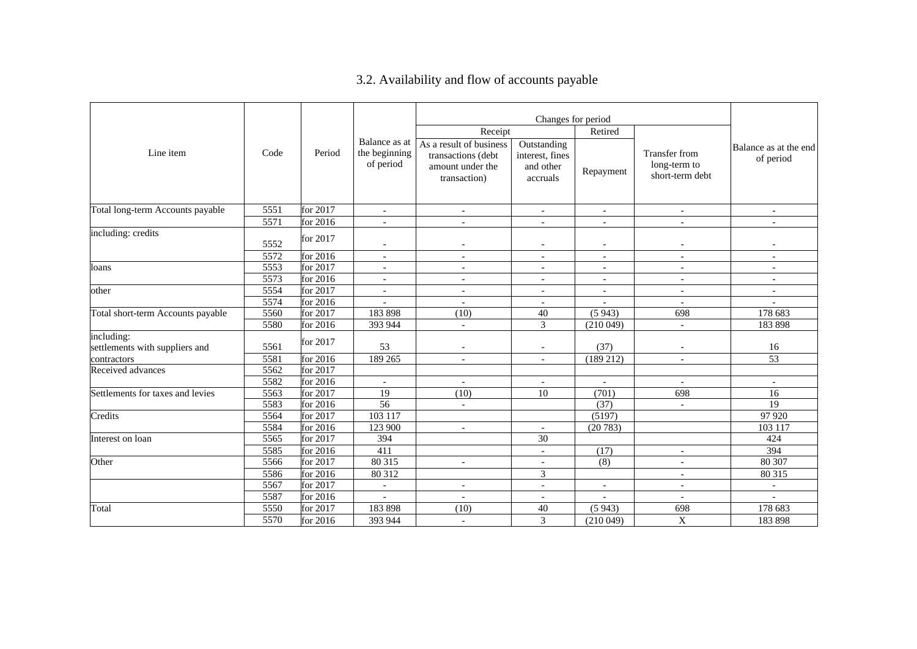# 3.2. Availability and flow of accounts payable

|                                              |      |            |                                             |                                                                                   | Changes for period                                      |                          |                                                         |                                    |
|----------------------------------------------|------|------------|---------------------------------------------|-----------------------------------------------------------------------------------|---------------------------------------------------------|--------------------------|---------------------------------------------------------|------------------------------------|
|                                              |      |            |                                             | Receipt                                                                           |                                                         | Retired                  |                                                         |                                    |
| Line item                                    | Code | Period     | Balance as at<br>the beginning<br>of period | As a result of business<br>transactions (debt<br>amount under the<br>transaction) | Outstanding<br>interest, fines<br>and other<br>accruals | Repayment                | <b>Transfer from</b><br>long-term to<br>short-term debt | Balance as at the end<br>of period |
| Total long-term Accounts payable             | 5551 | for 2017   | $\overline{\phantom{a}}$                    | $\overline{\phantom{a}}$                                                          | $\overline{\phantom{a}}$                                | $\overline{\phantom{a}}$ | $\overline{\phantom{a}}$                                | $\overline{\phantom{a}}$           |
|                                              | 5571 | for 2016   |                                             | $\overline{a}$                                                                    | $\overline{\phantom{a}}$                                |                          |                                                         | $\overline{\phantom{a}}$           |
| including: credits                           | 5552 | for 2017   |                                             | $\overline{\phantom{a}}$                                                          | $\overline{\phantom{a}}$                                | $\overline{\phantom{a}}$ |                                                         | ۰                                  |
|                                              | 5572 | for 2016   | $\overline{\phantom{a}}$                    | $\overline{\phantom{a}}$                                                          | $\overline{\phantom{a}}$                                | $\overline{\phantom{a}}$ | $\overline{\phantom{a}}$                                | $\overline{\phantom{a}}$           |
| loans                                        | 5553 | for 2017   |                                             | $\sim$                                                                            | $\overline{\phantom{a}}$                                | $\overline{a}$           |                                                         | $\overline{\phantom{a}}$           |
|                                              | 5573 | for $2016$ | $\overline{\phantom{a}}$                    | $\sim$                                                                            | $\overline{\phantom{a}}$                                | $\overline{\phantom{a}}$ | $\overline{\phantom{a}}$                                | $\overline{\phantom{a}}$           |
| other                                        | 5554 | for 2017   |                                             | $\sim$                                                                            | $\overline{\phantom{a}}$                                |                          |                                                         | $\overline{\phantom{a}}$           |
|                                              | 5574 | for 2016   |                                             | $\overline{\phantom{a}}$                                                          | $\overline{\phantom{a}}$                                |                          |                                                         |                                    |
| Total short-term Accounts payable            | 5560 | for 2017   | 183 898                                     | (10)                                                                              | 40                                                      | (5943)                   | 698                                                     | 178 683                            |
|                                              | 5580 | for 2016   | 393 944                                     | $\sim$                                                                            | 3                                                       | (210049)                 | $\overline{\phantom{a}}$                                | 183 898                            |
| including:<br>settlements with suppliers and | 5561 | for 2017   | 53                                          | $\overline{\phantom{a}}$                                                          |                                                         | (37)                     |                                                         | 16                                 |
| contractors                                  | 5581 | for 2016   | 189 265                                     |                                                                                   |                                                         | (189 212)                |                                                         | $\overline{53}$                    |
| Received advances                            | 5562 | for 2017   |                                             |                                                                                   |                                                         |                          |                                                         |                                    |
|                                              | 5582 | for 2016   | $\overline{\phantom{a}}$                    | $\blacksquare$                                                                    | $\overline{\phantom{a}}$                                | $\blacksquare$           | $\overline{\phantom{a}}$                                | $\overline{\phantom{a}}$           |
| Settlements for taxes and levies             | 5563 | for 2017   | 19                                          | (10)                                                                              | 10                                                      | (701)                    | 698                                                     | 16                                 |
|                                              | 5583 | for $2016$ | 56                                          | $\overline{\phantom{a}}$                                                          |                                                         | (37)                     | $\overline{\phantom{a}}$                                | 19                                 |
| Credits                                      | 5564 | for 2017   | 103 117                                     |                                                                                   |                                                         | (5197)                   |                                                         | 97 920                             |
|                                              | 5584 | for 2016   | 123 900                                     | $\blacksquare$                                                                    | $\sim$                                                  | (20783)                  |                                                         | 103 117                            |
| Interest on loan                             | 5565 | for 2017   | 394                                         |                                                                                   | 30                                                      |                          |                                                         | 424                                |
|                                              | 5585 | for 2016   | 411                                         |                                                                                   | $\overline{\phantom{a}}$                                | (17)                     | $\overline{\phantom{a}}$                                | 394                                |
| Other                                        | 5566 | for 2017   | 80 315                                      | $\overline{\phantom{a}}$                                                          | $\sim$                                                  | (8)                      | $\overline{a}$                                          | 80 30 7                            |
|                                              | 5586 | for 2016   | 80 312                                      |                                                                                   | 3                                                       |                          |                                                         | 80 315                             |
|                                              | 5567 | for 2017   |                                             |                                                                                   | $\overline{\phantom{a}}$                                |                          |                                                         |                                    |
|                                              | 5587 | for 2016   |                                             | $\sim$                                                                            | $\sim$                                                  |                          | $\overline{\phantom{a}}$                                |                                    |
| Total                                        | 5550 | for 2017   | 183 898                                     | (10)                                                                              | 40                                                      | (5943)                   | 698                                                     | 178 683                            |
|                                              | 5570 | for 2016   | 393 944                                     | $\overline{\phantom{a}}$                                                          | 3                                                       | (210049)                 | $\mathbf X$                                             | 183 898                            |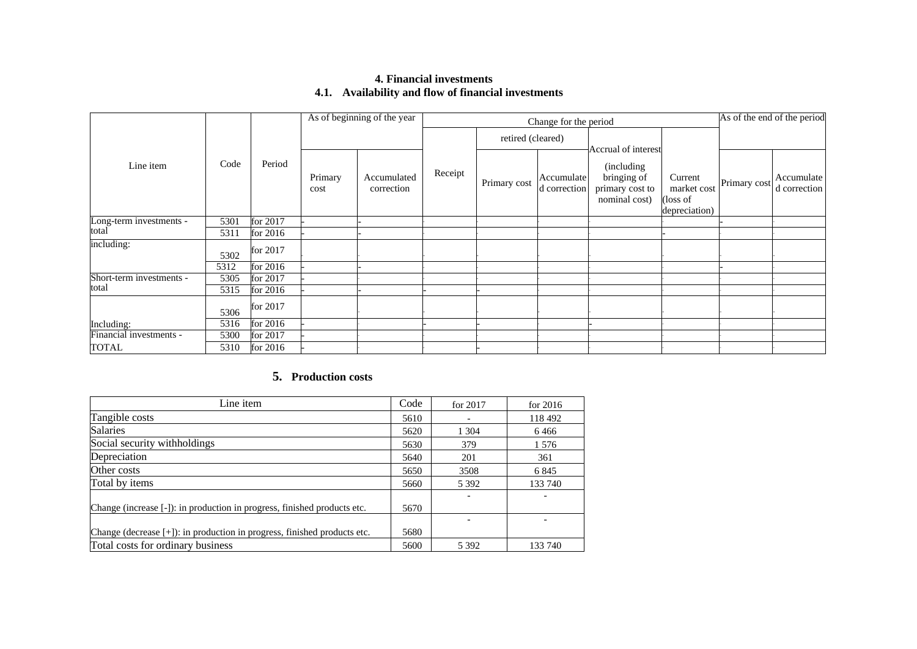## **4. Financial investments 4.1. Availability and flow of financial investments**

|                          |      |          |                 | As of beginning of the year |                   | Change for the period |                            |                                                                                       | As of the end of the period                         |              |                            |
|--------------------------|------|----------|-----------------|-----------------------------|-------------------|-----------------------|----------------------------|---------------------------------------------------------------------------------------|-----------------------------------------------------|--------------|----------------------------|
|                          |      |          |                 |                             | retired (cleared) |                       |                            |                                                                                       |                                                     |              |                            |
| Line item                | Code | Period   | Primary<br>cost | Accumulated<br>correction   | Receipt           | Primary cost          | Accumulate<br>d correction | Accrual of interest<br>(including)<br>bringing of<br>primary cost to<br>nominal cost) | Current<br>market cost<br>(loss of<br>depreciation) | Primary cost | Accumulate<br>d correction |
| Long-term investments -  | 5301 | for 2017 |                 |                             |                   |                       |                            |                                                                                       |                                                     |              |                            |
| total                    | 5311 | for 2016 |                 |                             |                   |                       |                            |                                                                                       |                                                     |              |                            |
| including:               | 5302 | for 2017 |                 |                             |                   |                       |                            |                                                                                       |                                                     |              |                            |
|                          | 5312 | for 2016 |                 |                             |                   |                       |                            |                                                                                       |                                                     |              |                            |
| Short-term investments - | 5305 | for 2017 |                 |                             |                   |                       |                            |                                                                                       |                                                     |              |                            |
| total                    | 5315 | for 2016 |                 |                             |                   |                       |                            |                                                                                       |                                                     |              |                            |
|                          | 5306 | for 2017 |                 |                             |                   |                       |                            |                                                                                       |                                                     |              |                            |
| Including:               | 5316 | for 2016 |                 |                             |                   |                       |                            |                                                                                       |                                                     |              |                            |
| Financial investments -  | 5300 | for 2017 |                 |                             |                   |                       |                            |                                                                                       |                                                     |              |                            |
| TOTAL                    | 5310 | for 2016 |                 |                             |                   |                       |                            |                                                                                       |                                                     |              |                            |

## **5. Production costs**

| Line item                                                                | Code | for $2017$ | for $2016$ |
|--------------------------------------------------------------------------|------|------------|------------|
| Tangible costs                                                           | 5610 |            | 118 492    |
| <b>Salaries</b>                                                          | 5620 | 1 3 0 4    | 6466       |
| Social security withholdings                                             | 5630 | 379        | 1 5 7 6    |
| Depreciation                                                             | 5640 | 201        | 361        |
| Other costs                                                              | 5650 | 3508       | 6845       |
| Total by items                                                           | 5660 | 5 3 9 2    | 133 740    |
|                                                                          |      |            |            |
| Change (increase [-]): in production in progress, finished products etc. | 5670 |            |            |
|                                                                          |      |            |            |
| Change (decrease [+]): in production in progress, finished products etc. | 5680 |            |            |
| Total costs for ordinary business                                        | 5600 | 5 3 9 2    | 133 740    |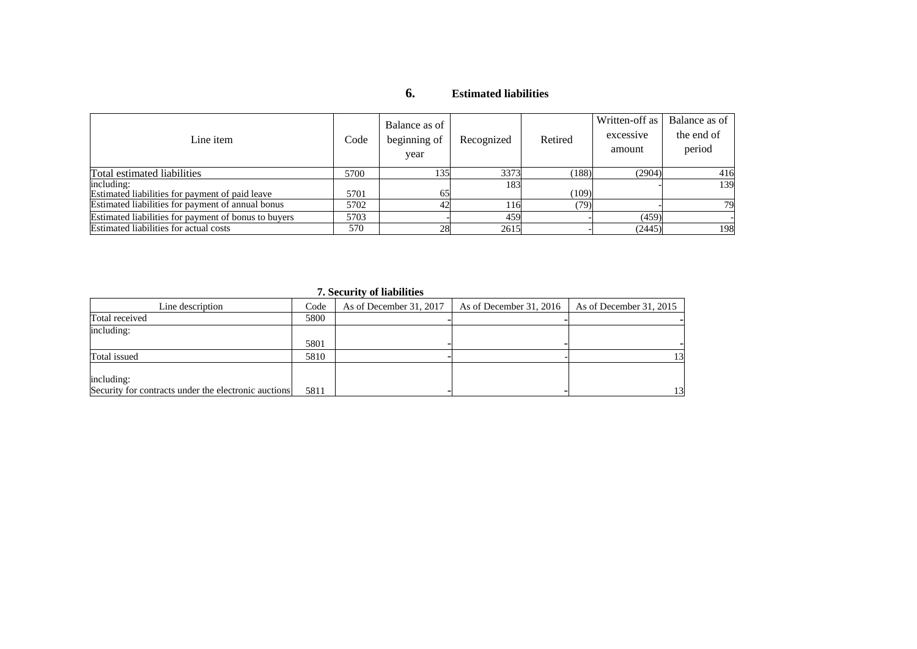## **6. Estimated liabilities**

| Line item                                                     | Code | Balance as of<br>beginning of<br>year | Recognized | Retired | Written-off as<br>excessive<br>amount | Balance as of<br>the end of<br>period |
|---------------------------------------------------------------|------|---------------------------------------|------------|---------|---------------------------------------|---------------------------------------|
| Total estimated liabilities                                   | 5700 | 135                                   | 3373       | (188)   | (2904)                                | 416                                   |
| including:<br>Estimated liabilities for payment of paid leave | 5701 | 65                                    | 183        | (109)   |                                       | 139                                   |
| Estimated liabilities for payment of annual bonus             | 5702 |                                       | 116        | (79)    |                                       | 79                                    |
| Estimated liabilities for payment of bonus to buyers          | 5703 |                                       | 459        |         | (459)                                 |                                       |
| Estimated liabilities for actual costs                        | 570  | 28                                    | 2615       |         | (2445)                                | 198                                   |

### **7. Security of liabilities**

| Line description                                     | Code | As of December 31, 2017 | As of December 31, 2016 | As of December 31, 2015 |
|------------------------------------------------------|------|-------------------------|-------------------------|-------------------------|
| Total received                                       | 5800 |                         |                         |                         |
| including:                                           |      |                         |                         |                         |
|                                                      | 5801 |                         |                         |                         |
| Total issued                                         | 5810 |                         |                         | 13                      |
|                                                      |      |                         |                         |                         |
| including:                                           |      |                         |                         |                         |
| Security for contracts under the electronic auctions | 5811 |                         |                         | 13                      |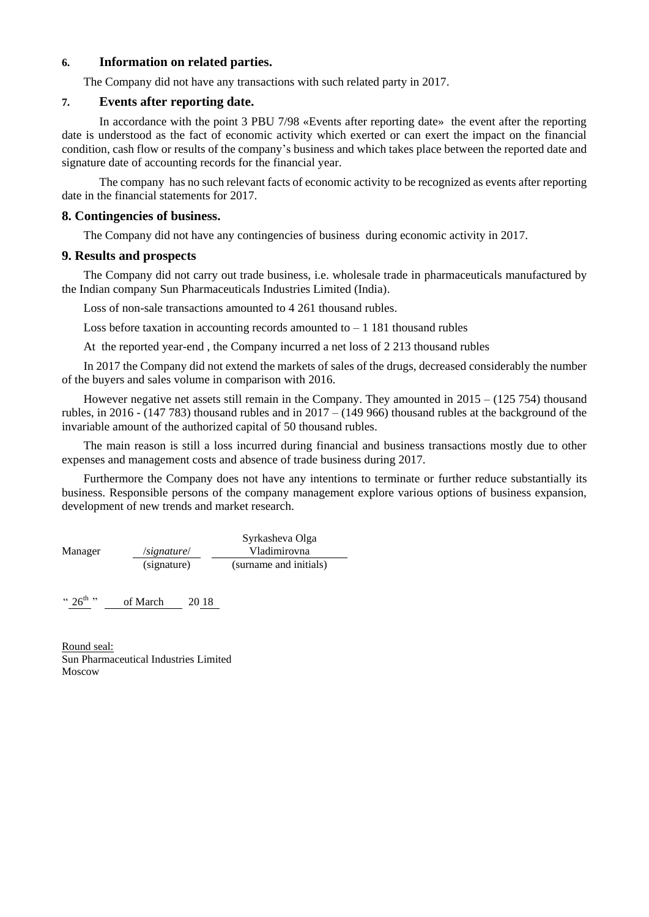### **6. Information on related parties.**

The Company did not have any transactions with such related party in 2017.

## **7. Events after reporting date.**

In accordance with the point 3 PBU 7/98 «Events after reporting date» the event after the reporting date is understood as the fact of economic activity which exerted or can exert the impact on the financial condition, cash flow or results of the company's business and which takes place between the reported date and signature date of accounting records for the financial year.

The company has no such relevant facts of economic activity to be recognized as events after reporting date in the financial statements for 2017.

### **8. Contingencies of business.**

The Company did not have any contingencies of business during economic activity in 2017.

## **9. Results and prospects**

The Company did not carry out trade business, i.e. wholesale trade in pharmaceuticals manufactured by the Indian company Sun Pharmaceuticals Industries Limited (India).

Loss of non-sale transactions amounted to 4 261 thousand rubles.

Loss before taxation in accounting records amounted to  $-1$  181 thousand rubles

At the reported year-end , the Company incurred a net loss of 2 213 thousand rubles

In 2017 the Company did not extend the markets of sales of the drugs, decreased considerably the number of the buyers and sales volume in comparison with 2016.

However negative net assets still remain in the Company. They amounted in 2015 – (125 754) thousand rubles, in 2016 - (147 783) thousand rubles and in 2017 – (149 966) thousand rubles at the background of the invariable amount of the authorized capital of 50 thousand rubles.

The main reason is still a loss incurred during financial and business transactions mostly due to other expenses and management costs and absence of trade business during 2017.

Furthermore the Company does not have any intentions to terminate or further reduce substantially its business. Responsible persons of the company management explore various options of business expansion, development of new trends and market research.

|         |             | Syrkasheva Olga        |
|---------|-------------|------------------------|
| Manager | /signature/ | Vladimirovna           |
|         | (signature) | (surname and initials) |

 $\lq\lq$  26<sup>th  $\lq$ </sup> of March  $2018$ 

Round seal: Sun Pharmaceutical Industries Limited Moscow